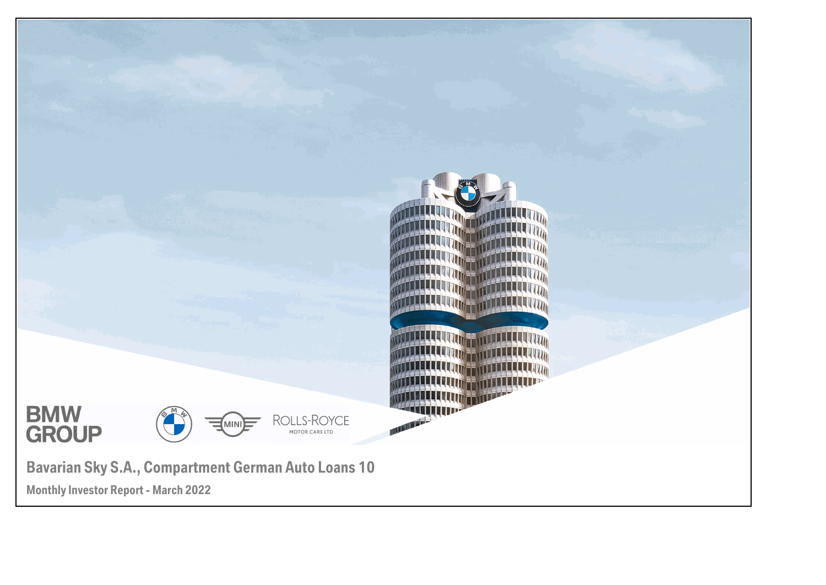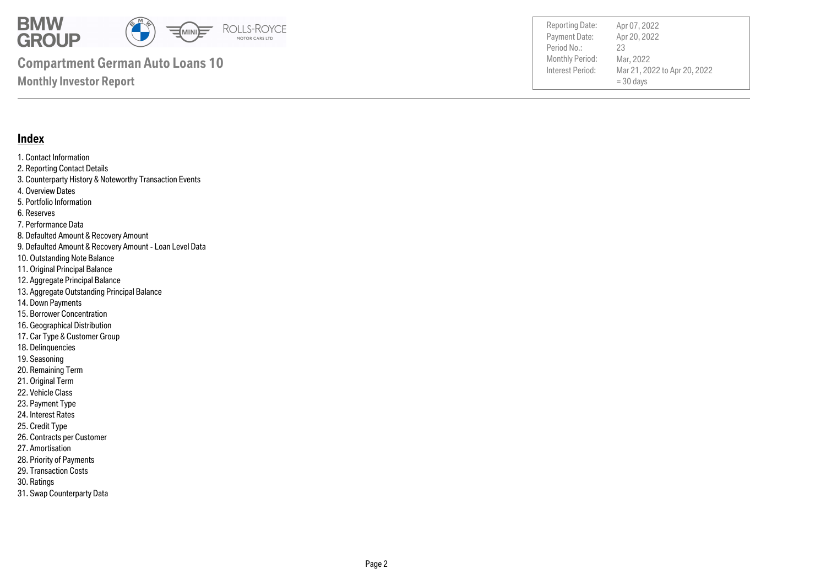

Payment Date: Period No.: Mar 21, 2022 to Apr 20, 2022  $= 30$  days Apr 20, 2022 Mar, 2022 23 Reporting Date: Apr 07, 2022

#### **Index**

1. Contact Information 2. Reporting Contact Details 3. Counterparty History & Noteworthy Transaction Events 4. Overview Dates 5. Portfolio Information 6. Reserves 7. Performance Data 8. Defaulted Amount & Recovery Amount 9. Defaulted Amount & Recovery Amount - Loan Level Data 10. Outstanding Note Balance 11. Original Principal Balance 12. Aggregate Principal Balance 13. Aggregate Outstanding Principal Balance 14. Down Payments 15. Borrower Concentration 16. Geographical Distribution 17. Car Type & Customer Group 18. Delinquencies 19. Seasoning 20. Remaining Term 21. Original Term 22. Vehicle Class

- 23. Payment Type
- 24. Interest Rates
- 25. Credit Type
- 26. Contracts per Customer
- 27. Amortisation
- 28. Priority of Payments
- 29. Transaction Costs
- 30. Ratings
- 31. Swap Counterparty Data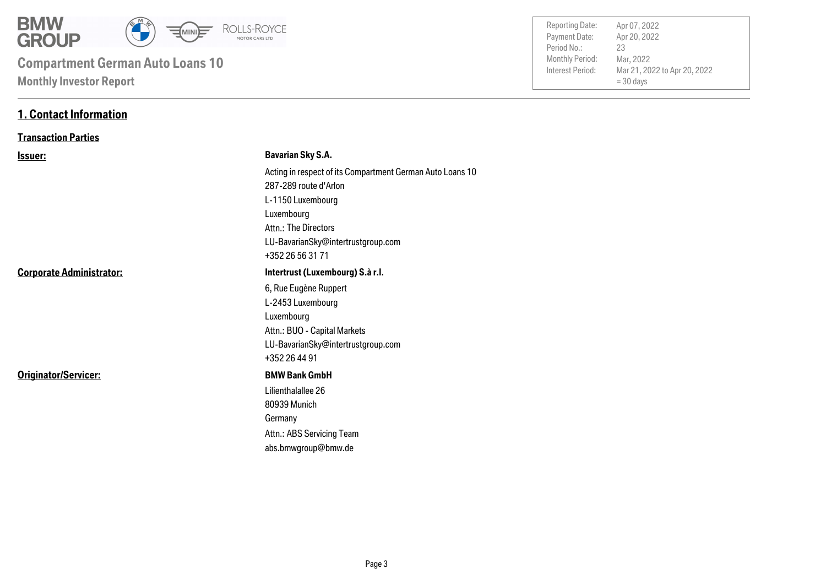

| <b>Reporting Date:</b> | Apr 07, 2022                 |  |
|------------------------|------------------------------|--|
| Payment Date:          | Apr 20, 2022                 |  |
| Period No.:            | 23                           |  |
| <b>Monthly Period:</b> | Mar, 2022                    |  |
| Interest Period:       | Mar 21, 2022 to Apr 20, 2022 |  |
|                        | $=$ 30 days                  |  |
|                        |                              |  |

### **1. Contact Information**

#### **Transaction Parties**

| <u>Issuer:</u>                  | <b>Bavarian Sky S.A.</b>                                  |
|---------------------------------|-----------------------------------------------------------|
|                                 | Acting in respect of its Compartment German Auto Loans 10 |
|                                 | 287-289 route d'Arlon                                     |
|                                 | L-1150 Luxembourg                                         |
|                                 | Luxembourg                                                |
|                                 | Attn.: The Directors                                      |
|                                 | LU-BavarianSky@intertrustgroup.com                        |
|                                 | +352 26 56 31 71                                          |
| <b>Corporate Administrator:</b> | Intertrust (Luxembourg) S.à r.l.                          |
|                                 | 6, Rue Eugène Ruppert                                     |
|                                 | L-2453 Luxembourg                                         |
|                                 | Luxembourg                                                |
|                                 | Attn.: BUO - Capital Markets                              |
|                                 | LU-BavarianSky@intertrustgroup.com                        |
|                                 | +352 26 44 91                                             |
| Originator/Servicer:            | <b>BMW Bank GmbH</b>                                      |
|                                 | Lilienthalallee 26                                        |
|                                 | 80939 Munich                                              |
|                                 | Germany                                                   |
|                                 | Attn.: ABS Servicing Team                                 |
|                                 | abs.bmwgroup@bmw.de                                       |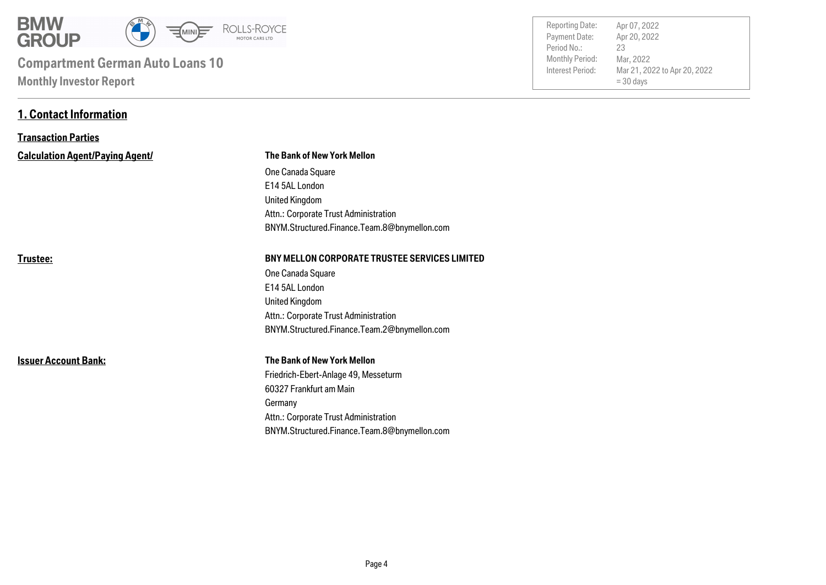

**1. Contact Information**

| <b>Reporting Date:</b> | Apr 07, 2022                 |
|------------------------|------------------------------|
| Payment Date:          | Apr 20, 2022                 |
| Period No.:            | 23                           |
| Monthly Period:        | Mar, 2022                    |
| Interest Period:       | Mar 21, 2022 to Apr 20, 2022 |
|                        | $=$ 30 days                  |
|                        |                              |

| <b>Transaction Parties</b>             |                                                      |
|----------------------------------------|------------------------------------------------------|
| <b>Calculation Agent/Paying Agent/</b> | <b>The Bank of New York Mellon</b>                   |
|                                        | One Canada Square                                    |
|                                        | E14 5AL London                                       |
|                                        | United Kingdom                                       |
|                                        | Attn.: Corporate Trust Administration                |
|                                        | BNYM.Structured.Finance.Team.8@bnymellon.com         |
| Trustee:                               | <b>BNY MELLON CORPORATE TRUSTEE SERVICES LIMITED</b> |
|                                        | One Canada Square                                    |
|                                        | E14 5AL London                                       |
|                                        | United Kingdom                                       |
|                                        | Attn.: Corporate Trust Administration                |
|                                        | BNYM.Structured.Finance.Team.2@bnymellon.com         |
| <b>Issuer Account Bank:</b>            | <b>The Bank of New York Mellon</b>                   |
|                                        | Friedrich-Ebert-Anlage 49, Messeturm                 |
|                                        | 60327 Frankfurt am Main                              |
|                                        | Germany                                              |
|                                        | Attn.: Corporate Trust Administration                |
|                                        | BNYM.Structured.Finance.Team.8@bnymellon.com         |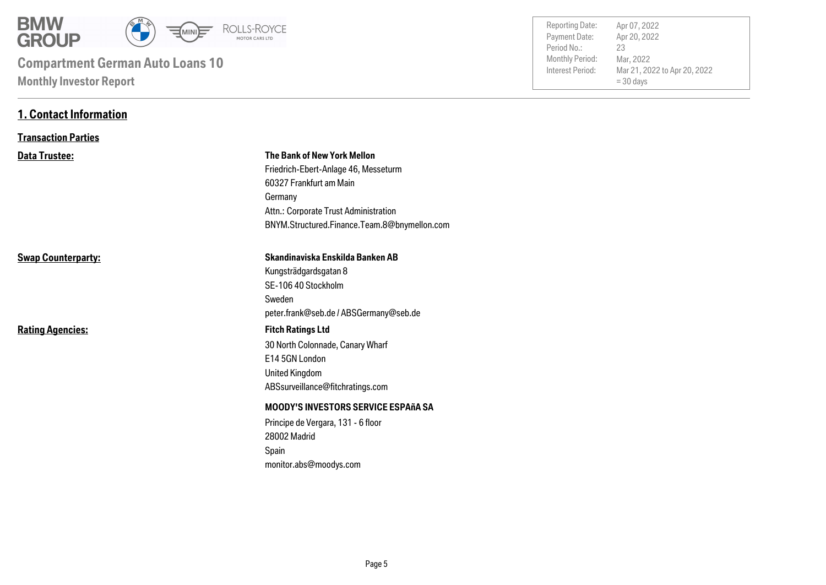

**1. Contact Information**

| <b>Reporting Date:</b><br>Payment Date:<br>Period No.:<br>Monthly Period:<br>Interest Period: | Apr 07, 2022<br>Apr 20, 2022<br>23<br>Mar, 2022<br>Mar 21, 2022 to Apr 20, 2022<br>$=$ 30 days |  |
|-----------------------------------------------------------------------------------------------|------------------------------------------------------------------------------------------------|--|
|                                                                                               |                                                                                                |  |

| <b>Transaction Parties</b> |                                                                                                                                             |
|----------------------------|---------------------------------------------------------------------------------------------------------------------------------------------|
| <b>Data Trustee:</b>       | The Bank of New York Mellon<br>Friedrich-Ebert-Anlage 46, Messeturm<br>60327 Frankfurt am Main<br>Germany                                   |
|                            | Attn.: Corporate Trust Administration<br>BNYM.Structured.Finance.Team.8@bnymellon.com                                                       |
| <b>Swap Counterparty:</b>  | Skandinaviska Enskilda Banken AB<br>Kungsträdgardsgatan 8<br>SE-106 40 Stockholm<br>Sweden<br>peter.frank@seb.de / ABSGermany@seb.de        |
| <b>Rating Agencies:</b>    | <b>Fitch Ratings Ltd</b><br>30 North Colonnade, Canary Wharf<br>E14 5GN London<br><b>United Kingdom</b><br>ABSsurveillance@fitchratings.com |
|                            | <b>MOODY'S INVESTORS SERVICE ESPAñA SA</b><br>Principe de Vergara, 131 - 6 floor<br>28002 Madrid<br>Spain<br>monitor.abs@moodys.com         |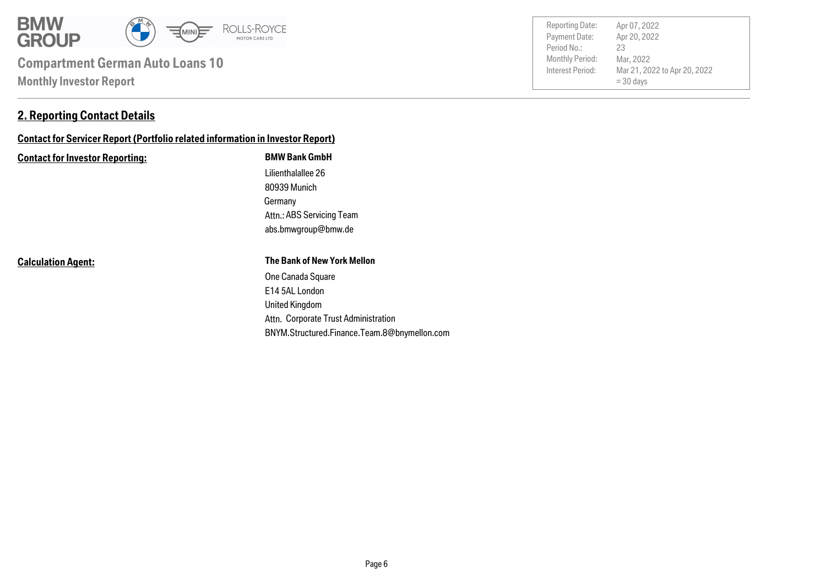

### **2. Reporting Contact Details**

## **Contact for Servicer Report (Portfolio related information in Investor Report)**

#### **Contact for Investor Reporting: BMW Bank GmbH**

Germany 80939 Munich Lilienthalallee 26 abs.bmwgroup@bmw.de Attn.: ABS Servicing Team

**Calculation Agent:**

#### **The Bank of New York Mellon**

Attn. Corporate Trust Administration United Kingdom E14 5AL London One Canada Square BNYM.Structured.Finance.Team.8@bnymellon.com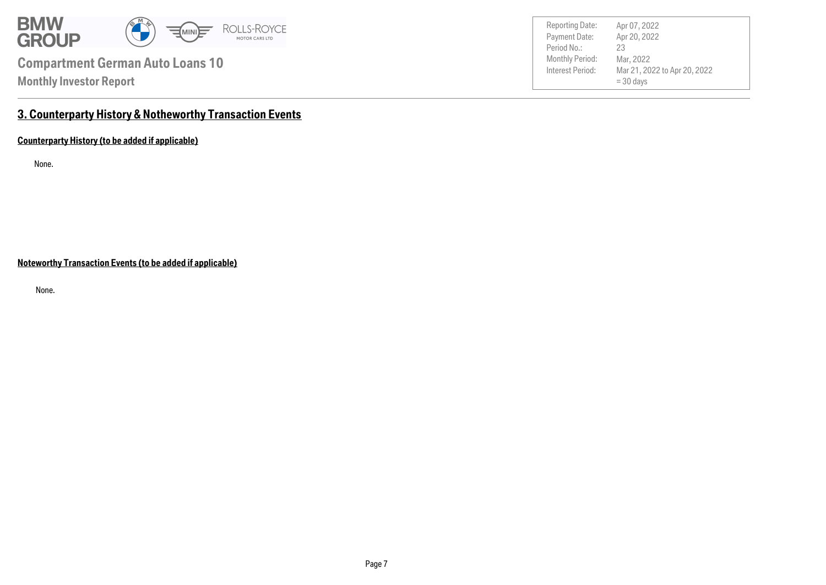

Payment Date: Period No.: Mar 21, 2022 to Apr 20, 2022 = 30 days Apr 20, 2022 Mar, 2022 23 Reporting Date: Apr 07, 2022

## **3. Counterparty History & Notheworthy Transaction Events**

**Counterparty History (to be added if applicable)**

None.

**Noteworthy Transaction Events (to be added if applicable)**

None.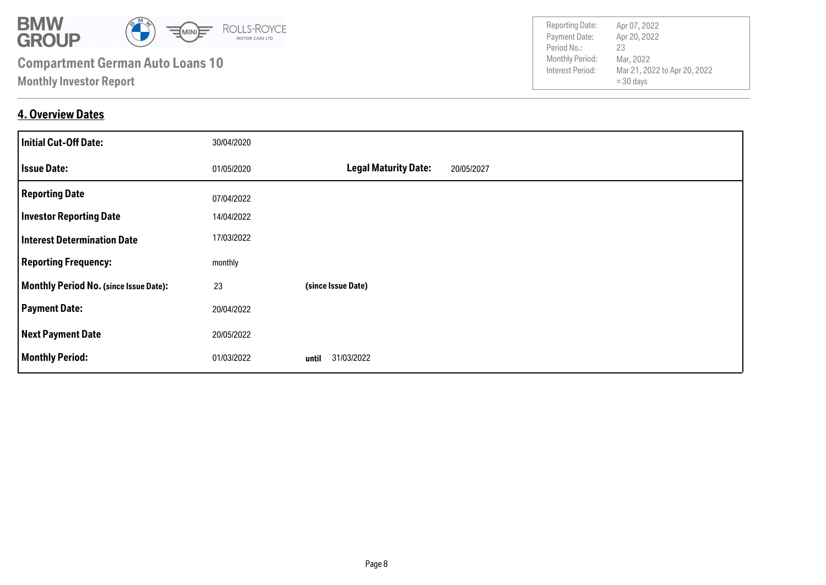

**4. Overview Dates**

| <b>Initial Cut-Off Date:</b>           | 30/04/2020 |                                           |
|----------------------------------------|------------|-------------------------------------------|
| <b>Issue Date:</b>                     | 01/05/2020 | <b>Legal Maturity Date:</b><br>20/05/2027 |
| <b>Reporting Date</b>                  | 07/04/2022 |                                           |
| <b>Investor Reporting Date</b>         | 14/04/2022 |                                           |
| <b>Interest Determination Date</b>     | 17/03/2022 |                                           |
| <b>Reporting Frequency:</b>            | monthly    |                                           |
| Monthly Period No. (since Issue Date): | 23         | (since Issue Date)                        |
| <b>Payment Date:</b>                   | 20/04/2022 |                                           |
| <b>Next Payment Date</b>               | 20/05/2022 |                                           |
| <b>Monthly Period:</b>                 | 01/03/2022 | 31/03/2022<br>until                       |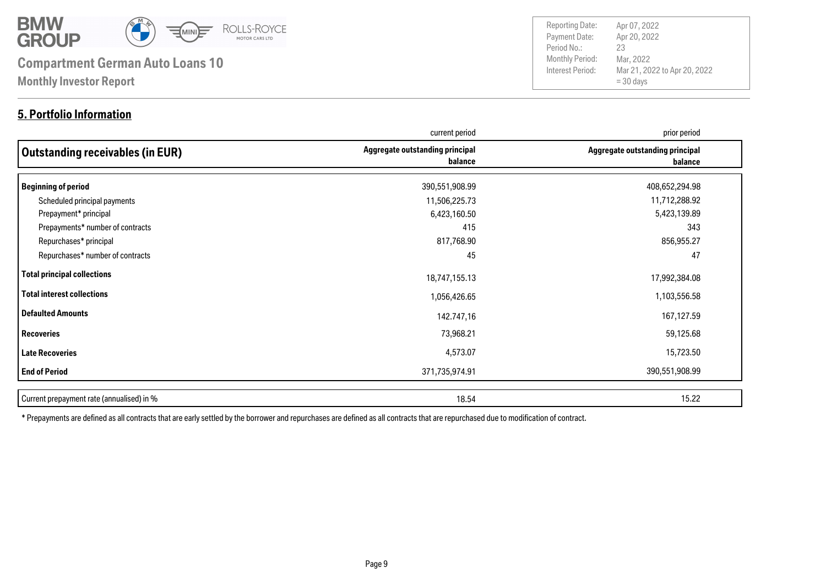

### **5. Portfolio Information**

Payment Date: Period No.: Mar 21, 2022 to Apr 20, 2022  $= 30$  days Apr 20, 2022 Mar, 2022 23 Reporting Date: Apr 07, 2022

|                                           | current period                             | prior period                               |
|-------------------------------------------|--------------------------------------------|--------------------------------------------|
| Outstanding receivables (in EUR)          | Aggregate outstanding principal<br>balance | Aggregate outstanding principal<br>balance |
| Beginning of period                       | 390,551,908.99                             | 408,652,294.98                             |
| Scheduled principal payments              | 11,506,225.73                              | 11,712,288.92                              |
| Prepayment* principal                     | 6,423,160.50                               | 5,423,139.89                               |
| Prepayments* number of contracts          | 415                                        | 343                                        |
| Repurchases* principal                    | 817,768.90                                 | 856,955.27                                 |
| Repurchases* number of contracts          | 45                                         | 47                                         |
| Total principal collections               | 18,747,155.13                              | 17,992,384.08                              |
| Total interest collections                | 1,056,426.65                               | 1,103,556.58                               |
| Defaulted Amounts                         | 142.747,16                                 | 167,127.59                                 |
| Recoveries                                | 73,968.21                                  | 59,125.68                                  |
| <b>Late Recoveries</b>                    | 4,573.07                                   | 15,723.50                                  |
| <b>End of Period</b>                      | 371,735,974.91                             | 390,551,908.99                             |
| Current prepayment rate (annualised) in % | 18.54                                      | 15.22                                      |

\* Prepayments are defined as all contracts that are early settled by the borrower and repurchases are defined as all contracts that are repurchased due to modification of contract.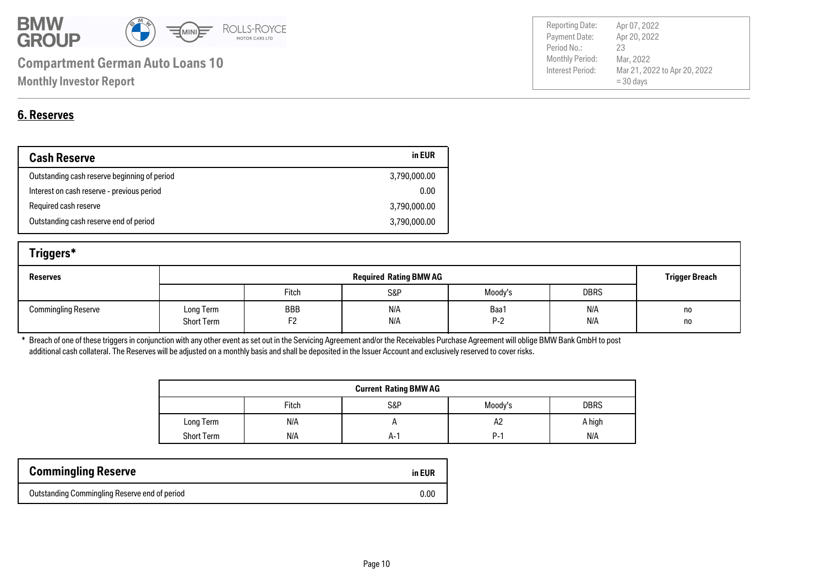

| <b>Reporting Date:</b> | Apr 07, 2022                 |
|------------------------|------------------------------|
| Payment Date:          | Apr 20, 2022                 |
| Period No.:            | 23                           |
| <b>Monthly Period:</b> | Mar, 2022                    |
| Interest Period:       | Mar 21, 2022 to Apr 20, 2022 |
|                        | $=$ 30 days                  |
|                        |                              |

## **6. Reserves**

| <b>Cash Reserve</b>                          | in EUR       |
|----------------------------------------------|--------------|
| Outstanding cash reserve beginning of period | 3,790,000.00 |
| Interest on cash reserve - previous period   | 0.00         |
| Required cash reserve                        | 3,790,000.00 |
| Outstanding cash reserve end of period       | 3,790,000.00 |

| Triggers*                  |                                |                       |            |               |                       |          |
|----------------------------|--------------------------------|-----------------------|------------|---------------|-----------------------|----------|
| <b>Reserves</b>            | <b>Required Rating BMW AG</b>  |                       |            |               | <b>Trigger Breach</b> |          |
|                            |                                | Fitch                 | S&P        | Moody's       | <b>DBRS</b>           |          |
| <b>Commingling Reserve</b> | Long Term<br><b>Short Term</b> | BBB<br>F <sub>2</sub> | N/A<br>N/A | Baa1<br>$P-2$ | N/A<br>N/A            | no<br>no |

\* Breach of one of these triggers in conjunction with any other event as set out in the Servicing Agreement and/or the Receivables Purchase Agreement will oblige BMW Bank GmbH to post additional cash collateral. The Reserves will be adjusted on a monthly basis and shall be deposited in the Issuer Account and exclusively reserved to cover risks.

| <b>Current Rating BMW AG</b> |       |     |         |             |  |
|------------------------------|-------|-----|---------|-------------|--|
|                              | Fitch | S&P | Moody's | <b>DBRS</b> |  |
| Long Term                    | N/A   |     | A2      | A high      |  |
| <b>Short Term</b>            | N/A   | A-' | P.,     | N/A         |  |

| <b>Commingling Reserve</b>                    | in EUR |
|-----------------------------------------------|--------|
| Outstanding Commingling Reserve end of period | 0.00   |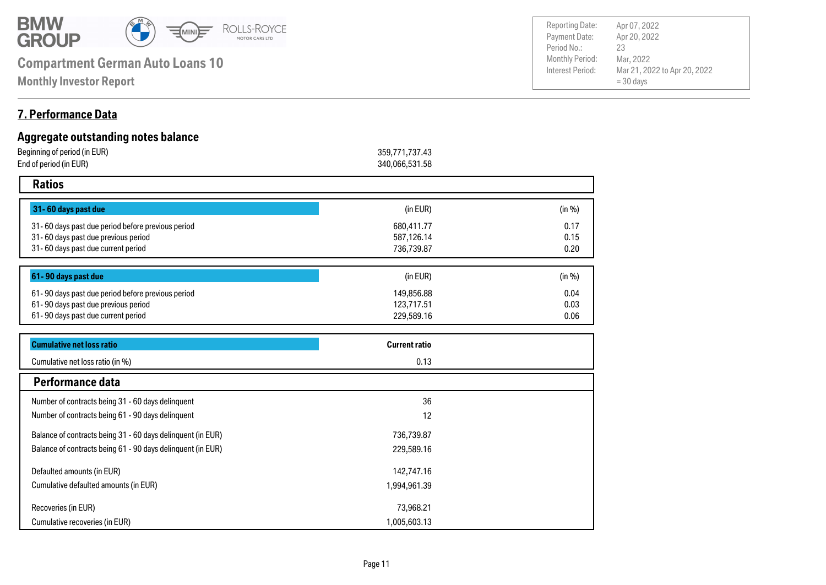

**Monthly Investor Report**

#### Payment Date: Period No.: Mar 21, 2022 to Apr 20, 2022 = 30 days Apr 20, 2022 Mar, 2022 23 Reporting Date: Apr 07, 2022

### **7. Performance Data**

| Aggregate outstanding notes balance                         |                      |        |
|-------------------------------------------------------------|----------------------|--------|
| Beginning of period (in EUR)                                | 359,771,737.43       |        |
| End of period (in EUR)                                      | 340,066,531.58       |        |
| <b>Ratios</b>                                               |                      |        |
| 31-60 days past due                                         | (in EUR)             | (in %) |
| 31-60 days past due period before previous period           | 680,411.77           | 0.17   |
| 31-60 days past due previous period                         | 587,126.14           | 0.15   |
| 31-60 days past due current period                          | 736,739.87           | 0.20   |
| 61-90 days past due                                         | (in EUR)             | (in %) |
| 61-90 days past due period before previous period           | 149,856.88           | 0.04   |
| 61-90 days past due previous period                         | 123,717.51           | 0.03   |
| 61-90 days past due current period                          | 229,589.16           | 0.06   |
| <b>Cumulative net loss ratio</b>                            | <b>Current ratio</b> |        |
| Cumulative net loss ratio (in %)                            | 0.13                 |        |
| Performance data                                            |                      |        |
| Number of contracts being 31 - 60 days delinquent           | 36                   |        |
| Number of contracts being 61 - 90 days delinquent           | 12                   |        |
| Balance of contracts being 31 - 60 days delinquent (in EUR) | 736,739.87           |        |
| Balance of contracts being 61 - 90 days delinquent (in EUR) | 229,589.16           |        |
| Defaulted amounts (in EUR)                                  | 142,747.16           |        |
| Cumulative defaulted amounts (in EUR)                       | 1,994,961.39         |        |
| Recoveries (in EUR)                                         | 73,968.21            |        |
| Cumulative recoveries (in EUR)                              | 1,005,603.13         |        |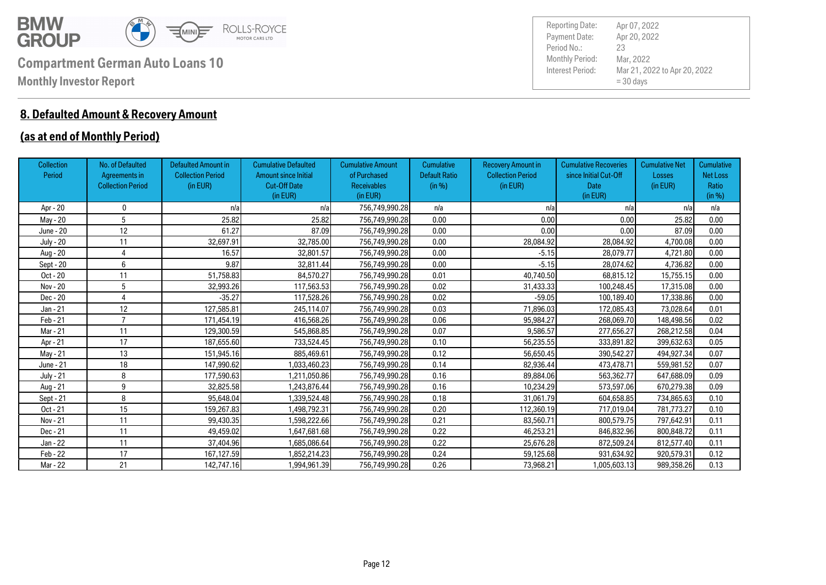

## **8. Defaulted Amount & Recovery Amount**

### **(as at end of Monthly Period)**

| <b>Collection</b><br>Period | No. of Defaulted<br>Agreements in<br><b>Collection Period</b> | <b>Defaulted Amount in</b><br><b>Collection Period</b><br>(in EUR) | <b>Cumulative Defaulted</b><br><b>Amount since Initial</b><br><b>Cut-Off Date</b><br>(in EUR) | <b>Cumulative Amount</b><br>of Purchased<br><b>Receivables</b><br>(in EUR) | <b>Cumulative</b><br><b>Default Ratio</b><br>(in %) | <b>Recovery Amount in</b><br><b>Collection Period</b><br>(in EUR) | <b>Cumulative Recoveries</b><br>since Initial Cut-Off<br>Date<br>(in EUR) | <b>Cumulative Net</b><br>Losses<br>(in EUR) | <b>Cumulative</b><br><b>Net Loss</b><br>Ratio<br>(in %) |
|-----------------------------|---------------------------------------------------------------|--------------------------------------------------------------------|-----------------------------------------------------------------------------------------------|----------------------------------------------------------------------------|-----------------------------------------------------|-------------------------------------------------------------------|---------------------------------------------------------------------------|---------------------------------------------|---------------------------------------------------------|
| Apr - 20                    | 0                                                             | n/a                                                                | n/a                                                                                           | 756,749,990.28                                                             | n/a                                                 | n/a                                                               | n/a                                                                       | n/a                                         | n/a                                                     |
| May - 20                    | 5                                                             | 25,82                                                              | 25.82                                                                                         | 756,749,990.28                                                             | 0.00                                                | 0.00                                                              | 0.00                                                                      | 25.82                                       | 0.00                                                    |
| June - 20                   | 12                                                            | 61.27                                                              | 87.09                                                                                         | 756,749,990.28                                                             | 0.00                                                | 0.00                                                              | 0.00                                                                      | 87.09                                       | 0.00                                                    |
| <b>July - 20</b>            | 11                                                            | 32,697.91                                                          | 32,785.00                                                                                     | 756,749,990.28                                                             | 0.00                                                | 28,084.92                                                         | 28,084.92                                                                 | 4,700.08                                    | 0.00                                                    |
| Aug - 20                    | 4                                                             | 16.57                                                              | 32,801.57                                                                                     | 756,749,990.28                                                             | 0.00                                                | $-5.15$                                                           | 28,079.77                                                                 | 4,721.80                                    | 0.00                                                    |
| Sept - 20                   | 6                                                             | 9.87                                                               | 32,811.44                                                                                     | 756,749,990.28                                                             | 0.00                                                | $-5.15$                                                           | 28,074.62                                                                 | 4,736.82                                    | 0.00                                                    |
| Oct - 20                    | 11                                                            | 51.758.83                                                          | 84.570.27                                                                                     | 756,749,990.28                                                             | 0.01                                                | 40.740.50                                                         | 68,815.12                                                                 | 15,755.15                                   | 0.00                                                    |
| Nov - 20                    | 5                                                             | 32,993.26                                                          | 117,563.53                                                                                    | 756,749,990.28                                                             | 0.02                                                | 31,433.33                                                         | 100,248.45                                                                | 17,315.08                                   | 0.00                                                    |
| Dec - 20                    |                                                               | $-35.27$                                                           | 117,528.26                                                                                    | 756,749,990.28                                                             | 0.02                                                | $-59.05$                                                          | 100,189.40                                                                | 17,338.86                                   | 0.00                                                    |
| Jan - 21                    | 12                                                            | 127,585.81                                                         | 245,114.07                                                                                    | 756,749,990.28                                                             | 0.03                                                | 71.896.03                                                         | 172,085.43                                                                | 73,028.64                                   | 0.01                                                    |
| Feb - 21                    | -                                                             | 171,454.19                                                         | 416,568.26                                                                                    | 756,749,990.28                                                             | 0.06                                                | 95,984.27                                                         | 268,069.70                                                                | 148,498.56                                  | 0.02                                                    |
| Mar - 21                    | 11                                                            | 129,300.59                                                         | 545,868.85                                                                                    | 756,749,990.28                                                             | 0.07                                                | 9,586.57                                                          | 277,656.27                                                                | 268,212.58                                  | 0.04                                                    |
| Apr - 21                    | 17                                                            | 187,655.60                                                         | 733,524.45                                                                                    | 756,749,990.28                                                             | 0.10                                                | 56,235.55                                                         | 333,891.82                                                                | 399,632.63                                  | 0.05                                                    |
| May - 21                    | 13                                                            | 151,945.16                                                         | 885,469.61                                                                                    | 756,749,990.28                                                             | 0.12                                                | 56,650.45                                                         | 390,542.27                                                                | 494,927.34                                  | 0.07                                                    |
| June - 21                   | 18                                                            | 147,990.62                                                         | 1,033,460.23                                                                                  | 756,749,990.28                                                             | 0.14                                                | 82,936.44                                                         | 473,478.71                                                                | 559,981.52                                  | 0.07                                                    |
| <b>July - 21</b>            | 8                                                             | 177,590.63                                                         | 1,211,050.86                                                                                  | 756,749,990.28                                                             | 0.16                                                | 89,884.06                                                         | 563,362.77                                                                | 647,688.09                                  | 0.09                                                    |
| Aug - 21                    | 9                                                             | 32,825.58                                                          | 1,243,876.44                                                                                  | 756,749,990.28                                                             | 0.16                                                | 10,234.29                                                         | 573,597.06                                                                | 670,279.38                                  | 0.09                                                    |
| Sept - 21                   | 8                                                             | 95,648.04                                                          | 1,339,524.48                                                                                  | 756,749,990.28                                                             | 0.18                                                | 31,061.79                                                         | 604,658.85                                                                | 734,865.63                                  | 0.10                                                    |
| Oct - 21                    | 15                                                            | 159,267.83                                                         | 1,498,792.31                                                                                  | 756,749,990.28                                                             | 0.20                                                | 112,360.19                                                        | 717,019.04                                                                | 781,773.27                                  | 0.10                                                    |
| Nov - 21                    | 11                                                            | 99.430.35                                                          | 1,598,222.66                                                                                  | 756,749,990.28                                                             | 0.21                                                | 83,560.71                                                         | 800,579.75                                                                | 797.642.91                                  | 0.11                                                    |
| Dec - 21                    | 11                                                            | 49,459.02                                                          | 1,647,681.68                                                                                  | 756,749,990.28                                                             | 0.22                                                | 46,253.21                                                         | 846,832.96                                                                | 800,848.72                                  | 0.11                                                    |
| Jan - 22                    | 11                                                            | 37,404.96                                                          | 1,685,086.64                                                                                  | 756,749,990.28                                                             | 0.22                                                | 25,676.28                                                         | 872,509.24                                                                | 812,577.40                                  | 0.11                                                    |
| Feb - 22                    | 17                                                            | 167,127.59                                                         | 1,852,214.23                                                                                  | 756,749,990.28                                                             | 0.24                                                | 59,125.68                                                         | 931,634.92                                                                | 920.579.31                                  | 0.12                                                    |
| Mar - 22                    | 21                                                            | 142,747.16                                                         | 1,994,961.39                                                                                  | 756.749.990.28                                                             | 0.26                                                | 73.968.21                                                         | 1,005,603.13                                                              | 989,358.26                                  | 0.13                                                    |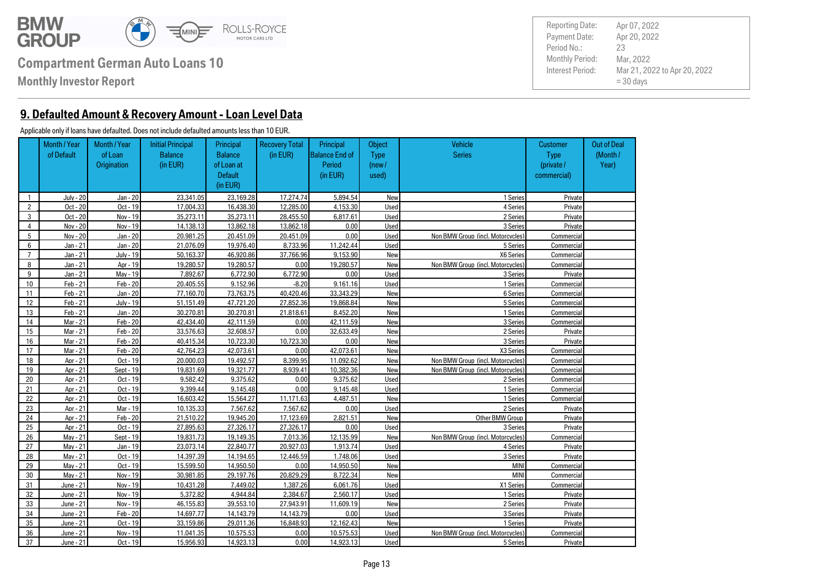

**Monthly Investor Report**

**9. Defaulted Amount & Recovery Amount - Loan Level Data**

#### Applicable only if loans have defaulted. Does not include defaulted amounts less than 10 EUR.

Out of Deal (Month / Year) **Customer**  Type (private / commercial) **Object** Type (new / used) Principal Balance End of Period (in EUR) Recovery Total (in EUR) Vehicle **Series** Principal Balance of Loan at **Default** (in EUR) Initial Principal Balance (in EUR) Month / Year of Loan **Origination** Month / Year of Default 1 July - 20 Jan - 20 23.341.05 23.169.28 17.274.74 5.894.54 New New 1 Series Private 2 | Oct - 20 | Oct - 19 | 17.004.33 | 16.438.30 | 12.285.00 | 4.153.30 | Used | 4 Series | Private 3 | Oct - 20 | Nov - 19 | 35.273.11 35.273.11 28.455.50 6.817.61 Used Used 2 Series Private 4 | Nov - 20 | Nov - 19 | 14.138.13 | 13.862.18 | 13.862.18 | 0.00 | Used | Series | 3 Series | Private 5 Nov - 20 Jan - 20 20,981.25 20,451.09 20,451.09 0.00 Used Non BMW Group (incl. Motorcycles) Commercial 6 Jan - 21 Jan - 20 21,076.09 19,976.40 8,733.96 11,242.44 Used 5 Series Commercial 7 | Jan - 21 July - 19 50.163.37 46.920.86 37.766.96 9.153.90 New New X6 Series Commercial 8 Jan - 21 Apr - 19 19,280.57 19,280.57 0.00 19,280.57 New Non BMW Group (incl. Motorcycles) Commercial 9 Jan - 21 May - 19 7,892.67 6,772.90 6,772.90 0.00 Used 3 Series Private 10 | Feb-21 | Feb-20 | 20,405.55 9.152.96 | -8.20 9.161.16 Used Used 1 Series 1 Series Commercial 11 | Feb 21 | Jan 20 | 77.160.70 | 73.763.75 | 40.420.46 | 33.343.29 | New New | 6Series | Commercial 12 | Feb 21 July 19 51,151.49 47.721.20 27.852.36 19.868.84 New New Series Series Commercial 13 | Feb 21 | Jan 20 | 30,270,81 30,270,81 21,818.61 8,452.20 New New 1 Series Commercial 14 | Mar - 21 | Feb - 20 | 42,434,40 | 42,111,59 | 0.00 | 42,111,59 | New | 3Series | Commercial 15 | Mar - 21 | Feb - 20 | 33.576.63 | 32.608.57 | 0.00 | 32.633.49 | New | 2 Series | Private 16 | Mar - 21 | Feb - 20 | 40.415.34 | 10.723.30 | 10.723.30 | 0.00 | New | Series | 3 Series Private 17 | Mar 21 | Feb 20 | 42.764.23 | 42.073.61 | 0.00 | 42.073.61 | New New X3 Series Commercial 18 Apr - 21 Oct - 19 20,000.03 19,492.57 8,399.95 11,092.62 New Non BMW Group (incl. Motorcycles) Commercial 19 Apr - 21 Sept - 19 19,831.69 19,321.77 8,939.41 10,382.36 New Non BMW Group (incl. Motorcycles) Commercial 20 Apr - 21 Oct - 19 9,582.42 9,375.62 0.00 9,375.62 Used 2 Series Commercial 21 Apr - 21 Oct - 19 9,399.44 9,145.48 0.00 9,145.48 Used 1 Series Commercial 22 | Apr - 21 Oct - 19 16.603.42 15.564.27 11.171.63 4.487.51 New New 1 Series Commercial 23 | Apr - 21 Mar - 19 10.135.33 | 7.567.62 | 7.567.62 0.00 Used 2 Series | 2 Series Private 24 | Apr - 21 | Feb - 20 | 21.510.22 | 19.945.20 17.123.69 | 2.821.51 New New Other BMW Group Private 25 | Apr - 21 | Oct - 19 | 27.895.63 | 27.326.17 | 27.326.17 | 0.00 | Used | Series | 3 Series | Private 26 May - 21 Sept - 19 19,831.73 19,149.35 7,013.36 12,135.99 New Non BMW Group (incl. Motorcycles) Commercial 27 | Mav 21 | Jan 19 | 23.073.14 | 22.840.77 | 20.927.03 | 1.913.74 | Used | Aseries | 4 Series | Private 28 | Mav 21 | Oct - 19 | 14.397.39 14.194.65 12.446.59 1.748.06 Used 3 Series Private 29 May - 21 Oct - 19 15,599.50 14,950.50 0.00 14,950.50 New MINI Commercial 30 May - 21 Nov - 19 30,981.85 29,197.76 20,829.29 8,722.34 New MINI Commercial 31 June - 21 Nov - 19 10.431.28 7.449.02 1.387.26 6.061.76 Used Vertal X1 Series Commercial 32 June - 21 Nov - 19 5.372.82 4.944.84 2.384.67 2.560.17 Used June - 1 Series Private 33 June - 21 Nov - 19 46.155.83 39.553.10 27.943.91 11.609.19 New New 2 Series 2 Series Private 34 June - 21 Feb - 20 14.697.77 14.143.79 14.143.79 0.00 Used 3Series 3Series Private 35 June - 21 Oct - 19 33.159.86 29.011.36 16.848.93 12.162.43 New New 1 Series Private 36 June - 21 Nov - 19 11,041.35 10,575.53 0.00 10,575.53 Used Non BMW Group (incl. Motorcycles) Commercial 37 June - 21 Oct - 19 15.956.93 14.923.13 0.00 14.923.13 Used Series 5 Series Private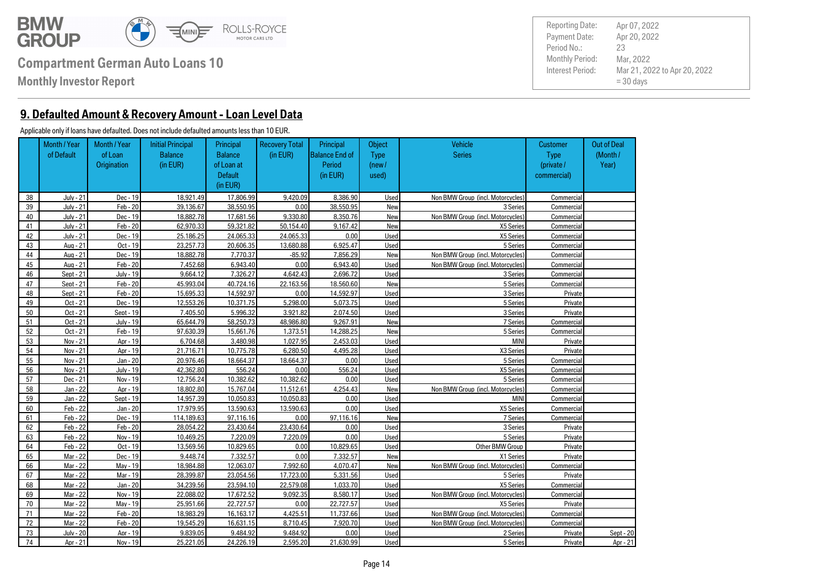

**Monthly Investor Report**

**9. Defaulted Amount & Recovery Amount - Loan Level Data**

#### Applicable only if loans have defaulted. Does not include defaulted amounts less than 10 EUR.

Out of Deal (Month / Year) **Customer**  Type (private / commercial) **Object** Type (new / used) Principal Balance End of Period (in EUR) Recovery Total (in EUR) Vehicle **Series** Principal Balance of Loan at **Default** (in EUR) Initial Principal Balance (in EUR) Month / Year of Loan **Origination** Month / Year of Default 38 July - 21 Dec - 19 18,921.49 17,806.99 9,420.09 8,386.90 Used Non BMW Group (incl. Motorcycles) Commercial 39 July - 21 Feb - 20 39,136.67 38,550.95 0.00 38,550.95 New New 3 Series Commercial 40 July - 21 Dec - 19 18,882.78 17,681.56 9,330.80 8,350.76 New Non BMW Group (incl. Motorcycles) Commercial 41 July - 21 Feb - 20 62,970.33 59,321.82 50,154.40 9,167.42 New X5 Series Commercial 42 July - 21 Dec - 19 25,186.25 24,065.33 24,065.33 0.00 Used X5 Series Commercial 43 | Aug 21 Oct - 19 | 23,257.73 | 20,606,35 | 13,680,88 | 6,925.47 | Used | Series | Series | Commercial 44 Aug - 21 Dec - 19 18,882.78 7,770.37 -85.92 7,856.29 New Non BMW Group (incl. Motorcycles) Commercial 45 Aug - 21 Feb - 20 7,452.68 6,943.40 0.00 6,943.40 Used Non BMW Group (incl. Motorcycles) Commercial 46 | Sept - 21 July - 19 | 9,664.12 | 7,326.27 | 4,642.43 | 2,696.72 | Used | Septes | Series | Commercial 47 | Sept - 21 Feb - 20 45,993.04 40.724.16 22.163.56 18,560.60 New New Sept 20, 5 Series Commercial 48 | Sept - 21 | Feb - 20 | 15,695.33 | 14,592.97 | 0.00 | 14,592.97 | Used | Septes | 3 Series | Private 49 | Oct - 21 Dec - 19 | 12,553.26 | 10.371.75 | 5.298.00 | 5.073.75 | Used | Series | SSeries Private 50 Oct - 21 Sept - 19 7,405.50 3,996.32 3,921.82 3,927.82 3,074.50 Used 3 Series 3 Series Private 51 | Oct - 21 | July - 19 | 65.644.79 | 58.250.73 | 48.986.80 | 9.267.91 | New New | 7 Series | Commercial 52 Oct - 21 Feb - 19 97.630.39 15.661.76 1.373.51 14.288.25 New New Steries Commercial 53 | Nov-21 | Apr-19 | 6.704.68 | 3.480.98 | 1.027.95 | 2.453.03 | Used | MINI Private MINI Private 54 Nov 21 Apr 19 21,716.71 10.775.78 6.280.50 4.495.28 Used X3 Series X3 Series Private 55 | Nov 21 | Jan 20 | 20.976.46 | 18.664.37 | 18.664.37 | 0.00 | Used | Series | SSeries Commercial 56 Nov - 21 July - 19 42,362.80 556.24 0.00 556.24 Used X5 Series Commercial 57 Dec - 21 Nov - 19 12.756.24 10.382.62 10.382.62 0.00 Used Series 5 Series Commercial 58 Jan - 22 Apr - 19 18,802.80 15,767.04 11,512.61 4,254.43 New Non BMW Group (incl. Motorcycles) Commercial 59 Jan - 22 Sept - 19 14,957.39 10.050.83 10.050.83 0.00 Used MINI Commercial 60 Feb - 22 Jan - 20 17.979.95 13.590.63 13.590.63 0.00 Used Vertal X5 Series Commercial 61 Feb 22 Dec 19 114,189.63 97,116.16 0.00 97.116.16 New New 7 Series Commercial 62 Feb - 22 Feb - 20 28.054.22 23.430.64 23.430.64 0.00 Used 3 Series 3 Series Private 63 Feb - 22 Nov - 19 10.469.25 7.220.09 7.220.09 0.00 Used Series 5 Series Private 64 Feb - 22 Oct - 19 13.569.56 10.829.65 0.00 10.829.65 Used Other BMW Group Private 65 | Mar 22 | Dec - 19 | 9.448.74 | 7.332.57 | 0.00 | 7.332.57 New New X1 Series Private 66 Mar - 22 May - 19 18,984.88 12,063.07 7,992.60 4,070.47 New Non BMW Group (incl. Motorcycles) Commercial 67 | Mar 22 | Mar 19 | 28.399.87 | 23.054.56 | 17.723.00 | 5.331.56 | Used | Series | 5 Series Private 68 | Mar 22 | Jan 20 34.239.56 23.594.10 22.579.08 1.033.70 Used Xan Americal X5 Series Commercial 69 Mar - 22 Nov - 19 22,088.02 17,672.52 9,092.35 8,580.17 Used Non BMW Group (incl. Motorcycles) Commercial 70 | Mar 22 | Mav 19 | 25.951.66 | 22.727.57 | 0.00 | 22.727.57 | Used X5 Series | Xf Series Private 71 Mar - 22 Feb - 20 18,983.29 16,163.17 4,425.51 11,737.66 Used Non BMW Group (incl. Motorcycles) Commercial 72 Mar - 22 Feb - 20 19,545.29 16,631.15 8,710.45 7,920.70 Used Non BMW Group (incl. Motorcycles) Commercial 73 July - 20 Apr - 19 9,839.05 9,484.92 9,484.92 0.00 Used 2 Series Private Sept - 20 74 Apr - 21 Nov - 19 25,221.05 24,226.19 2,595.20 21,630.99 Used 5 Series Private Apr - 21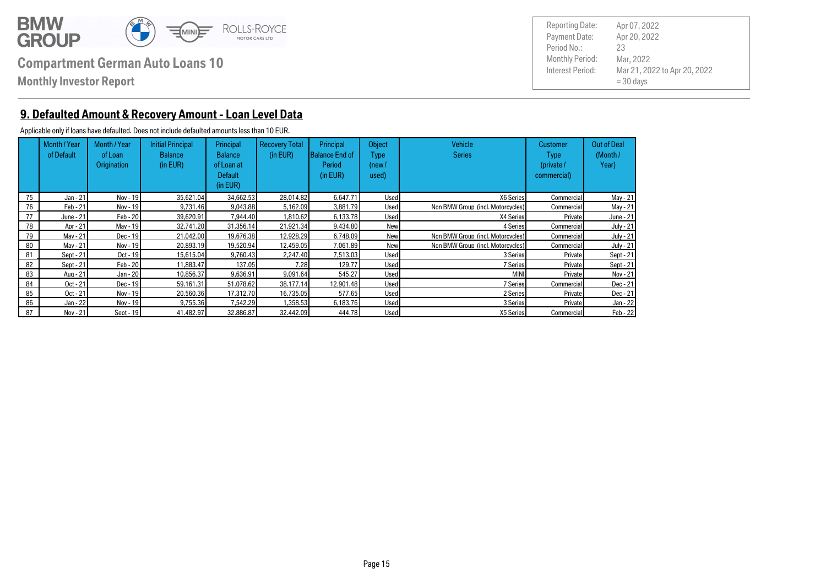

**Monthly Investor Report**

Payment Date: Period No.: Mar 21, 2022 to Apr 20, 2022  $= 30$  days Apr 20, 2022 Mar, 2022 23 Reporting Date: Apr 07, 2022

#### **9. Defaulted Amount & Recovery Amount - Loan Level Data**

#### Applicable only if loans have defaulted. Does not include defaulted amounts less than 10 EUR.

|    | Month / Year<br>of Default | Month / Year<br>of Loan<br><b>Origination</b> | <b>Initial Principal</b><br><b>Balance</b><br>(in EUR) | Principal<br><b>Balance</b><br>of Loan at<br>Default<br>(in EUR) | <b>Recovery Total</b><br>(in EUR) | Principal<br>lBalance End of<br>Period<br>(in EUR) | Object<br>Type<br>(new /<br>used) | <b>Vehicle</b><br><b>Series</b>   | <b>Customer</b><br>Type<br>(private /<br>commercial) | <b>Out of Deal</b><br>(Month/<br>Year) |
|----|----------------------------|-----------------------------------------------|--------------------------------------------------------|------------------------------------------------------------------|-----------------------------------|----------------------------------------------------|-----------------------------------|-----------------------------------|------------------------------------------------------|----------------------------------------|
| 75 | Jan - 21                   | Nov - 19                                      | 35.621.04                                              | 34.662.53                                                        | 28.014.82                         | 6.647.71                                           | Used                              | X6 Series                         | Commercial                                           | May - 21                               |
| 76 | Feb - 21                   | Nov - 19                                      | 9.731.46                                               | 9.043.88                                                         | 5.162.09                          | 3.881.79                                           | Used                              | Non BMW Group (incl. Motorcycles) | <b>Commercial</b>                                    | May - 21                               |
| 77 | June - 21                  | Feb - 20                                      | 39.620.91                                              | 7.944.40                                                         | 1.810.62                          | 6.133.78                                           | Used                              | X4 Series                         | Private                                              | June - 21                              |
| 78 | Apr - 21                   | May - 19                                      | 32.741.20                                              | 31.356.14                                                        | 21.921.34                         | 9.434.80                                           | New                               | 4 Series                          | Commercial                                           | <b>July - 21</b>                       |
| 79 | Mav - 21                   | Dec - 19                                      | 21.042.00                                              | 19.676.38                                                        | 12.928.29                         | 6.748.09                                           | New                               | Non BMW Group (incl. Motorcycles) | <b>Commercial</b>                                    | <b>July - 21</b>                       |
| 80 | Mav - 21                   | Nov - 19                                      | 20.893.19                                              | 19.520.94                                                        | 12.459.05                         | 7.061.89                                           | New                               | Non BMW Group (incl. Motorcycles) | Commercial                                           | July - 21                              |
| 81 | Sept - 21                  | Oct - 19                                      | 15,615,04                                              | 9.760.43                                                         | 2.247.40                          | 7.513.03                                           | Used                              | 3 Series                          | Private                                              | Sept - 21                              |
| 82 | Sept - 21                  | $Feb - 20$                                    | 11.883.47                                              | 137.05                                                           | 7.28                              | 129.77                                             | Used                              | <b>7 Series</b>                   | Private                                              | Sept - 21                              |
| 83 | Aug - 21                   | Jan - 20                                      | 10.856.37                                              | 9.636.91                                                         | 9.091.64                          | 545.27                                             | Used                              | <b>MINI</b>                       | Private                                              | Nov - 21                               |
| 84 | Oct - 21                   | Dec - 19                                      | 59.161.31                                              | 51.078.62                                                        | 38.177.14                         | 12.901.48                                          | Used                              | <b>7 Series</b>                   | Commercial                                           | Dec - 21                               |
| 85 | Oct - 21                   | Nov - 19                                      | 20.560.36                                              | 17.312.70                                                        | 16.735.05                         | 577.65                                             | Used                              | 2 Series                          | Private                                              | Dec - 21                               |
| 86 | Jan - 22                   | Nov - 19                                      | 9.755.36                                               | 7.542.29                                                         | .358.53                           | 6.183.76                                           | Used                              | 3 Series                          | Private                                              | Jan - 22                               |
| 87 | Nov - 21                   | Sept - 19                                     | 41.482.97                                              | 32.886.87                                                        | 32.442.09                         | 444.78                                             | Used                              | X5 Series                         | <b>Commercial</b>                                    | $Feb - 22$                             |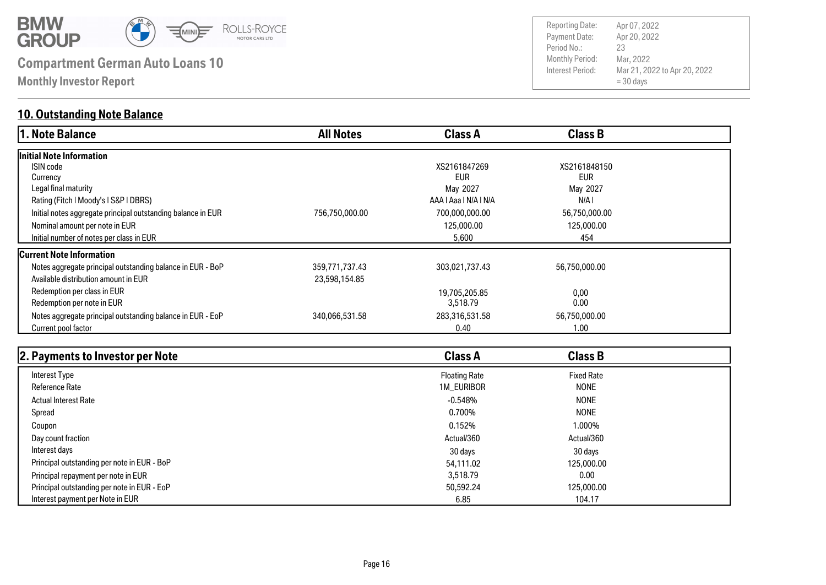

**Monthly Investor Report**

## **10. Outstanding Note Balance**

| 1. Note Balance                                              | <b>All Notes</b> | <b>Class A</b>        | <b>Class B</b> |  |
|--------------------------------------------------------------|------------------|-----------------------|----------------|--|
| Initial Note Information                                     |                  |                       |                |  |
| ISIN code                                                    |                  | XS2161847269          | XS2161848150   |  |
| Currency                                                     |                  | <b>EUR</b>            | <b>EUR</b>     |  |
| Legal final maturity                                         |                  | May 2027              | May 2027       |  |
| Rating (Fitch   Moody's   S&P   DBRS)                        |                  | AAA   Aaa   N/A   N/A | N/A I          |  |
| Initial notes aggregate principal outstanding balance in EUR | 756,750,000.00   | 700,000,000.00        | 56,750,000.00  |  |
| Nominal amount per note in EUR                               |                  | 125,000.00            | 125,000.00     |  |
| Initial number of notes per class in EUR                     |                  | 5,600                 | 454            |  |
| <b>Current Note Information</b>                              |                  |                       |                |  |
| Notes aggregate principal outstanding balance in EUR - BoP   | 359,771,737.43   | 303,021,737.43        | 56,750,000.00  |  |
| Available distribution amount in EUR                         | 23,598,154.85    |                       |                |  |
| Redemption per class in EUR                                  |                  | 19,705,205.85         | 0,00           |  |
| Redemption per note in EUR                                   |                  | 3,518.79              | 0.00           |  |
| Notes aggregate principal outstanding balance in EUR - EoP   | 340,066,531.58   | 283,316,531.58        | 56,750,000.00  |  |
| Current pool factor                                          |                  | 0.40                  | 1.00           |  |

| 2. Payments to Investor per Note            | <b>Class A</b>       | <b>Class B</b>    |  |
|---------------------------------------------|----------------------|-------------------|--|
| Interest Type                               | <b>Floating Rate</b> | <b>Fixed Rate</b> |  |
| <b>Reference Rate</b>                       | 1M_EURIBOR           | <b>NONE</b>       |  |
| <b>Actual Interest Rate</b>                 | $-0.548%$            | <b>NONE</b>       |  |
| Spread                                      | 0.700%               | <b>NONE</b>       |  |
| Coupon                                      | 0.152%               | 1.000%            |  |
| Day count fraction                          | Actual/360           | Actual/360        |  |
| Interest days                               | 30 days              | 30 days           |  |
| Principal outstanding per note in EUR - BoP | 54,111.02            | 125,000,00        |  |
| Principal repayment per note in EUR         | 3,518,79             | 0.00              |  |
| Principal outstanding per note in EUR - EoP | 50,592.24            | 125,000.00        |  |
| Interest payment per Note in EUR            | 6.85                 | 104.17            |  |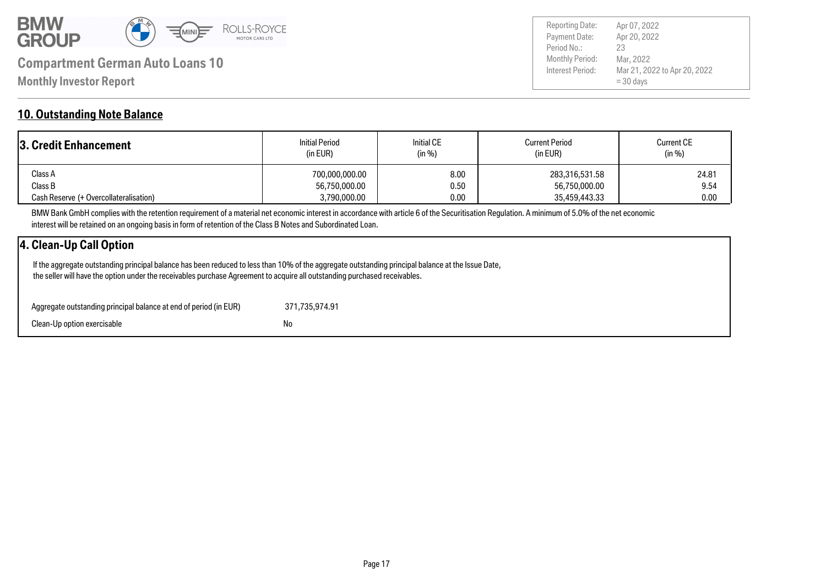

Payment Date: Period No.: Mar 21, 2022 to Apr 20, 2022 = 30 days Apr 20, 2022 Mar, 2022 23 Reporting Date: Apr 07, 2022

#### **10. Outstanding Note Balance**

| 3. Credit Enhancement                  | <b>Initial Period</b><br>(in EUR) | <b>Initial CE</b><br>(in %) | <b>Current Period</b><br>(in EUR) | <b>Current CE</b><br>(in %) |  |
|----------------------------------------|-----------------------------------|-----------------------------|-----------------------------------|-----------------------------|--|
| Class A                                | 700,000,000.00                    | 8.00                        | 283,316,531.58                    | 24.81                       |  |
| Class B                                | 56,750,000.00                     | 0.50                        | 56,750,000.00                     | 9.54                        |  |
| Cash Reserve (+ Overcollateralisation) | 3,790,000.00                      | 0.00                        | 35,459,443.33                     | 0.00                        |  |

BMW Bank GmbH complies with the retention requirement of a material net economic interest in accordance with article 6 of the Securitisation Regulation. A minimum of 5.0% of the net economic interest will be retained on an ongoing basis in form of retention of the Class B Notes and Subordinated Loan.

### **4. Clean-Up Call Option**

 If the aggregate outstanding principal balance has been reduced to less than 10% of the aggregate outstanding principal balance at the Issue Date, the seller will have the option under the receivables purchase Agreement to acquire all outstanding purchased receivables.

| Aggregate outstanding principal balance at end of period (in EUR) | 371.735.974.91 |
|-------------------------------------------------------------------|----------------|
| Clean-Up option exercisable                                       | No             |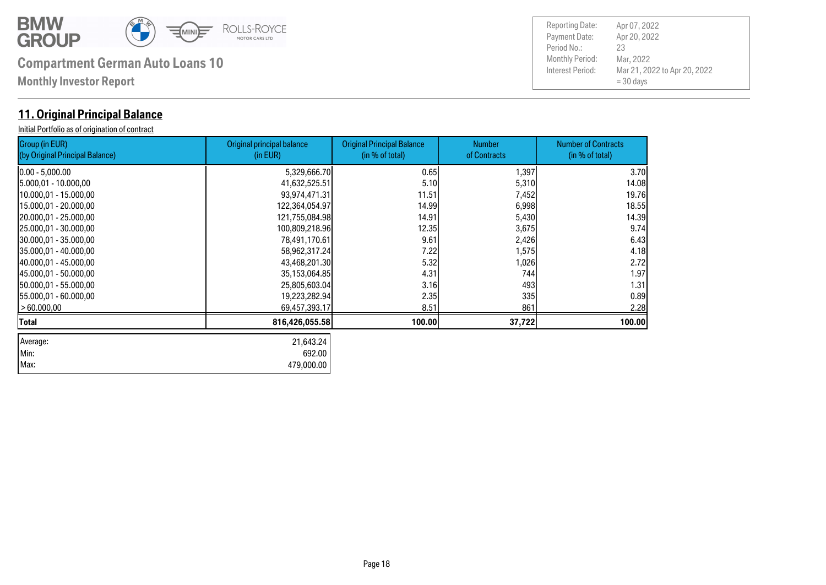

| Max: 479,000.00 Min: 692.00

## **Compartment German Auto Loans 10** Monthly Period:

**Monthly Investor Report**

### **11. Original Principal Balance**

Initial Portfolio as of origination of contract

| Group (in EUR)<br>(by Original Principal Balance) | Original principal balance<br>(in EUR) | <b>Original Principal Balance</b><br>(in % of total) | <b>Number</b><br>of Contracts | <b>Number of Contracts</b><br>(in % of total) |
|---------------------------------------------------|----------------------------------------|------------------------------------------------------|-------------------------------|-----------------------------------------------|
| 10.00 - 5,000.00                                  | 5,329,666.70                           | 0.65                                                 | 1,397                         | 3.70                                          |
| 15.000,01 - 10.000,00                             | 41,632,525.51                          | 5.10                                                 | 5,310                         | 14.08                                         |
| 10.000,01 - 15.000,00                             | 93,974,471.31                          | 11.51                                                | 7,452                         | 19.76                                         |
| 15.000,01 - 20.000,00                             | 122,364,054.97                         | 14.99                                                | 6,998                         | 18.55                                         |
| 20.000,01 - 25.000,00                             | 121,755,084.98                         | 14.91                                                | 5,430                         | 14.39                                         |
| 125.000,01 - 30.000,00                            | 100,809,218.96                         | 12.35                                                | 3,675                         | 9.74                                          |
| 130.000,01 - 35.000,00                            | 78,491,170.61                          | 9.61                                                 | 2,426                         | 6.43                                          |
| 35.000,01 - 40.000,00                             | 58,962,317.24                          | 7.22                                                 | 1,575                         | 4.18                                          |
| 40.000,01 - 45.000,00                             | 43,468,201.30                          | 5.32                                                 | 1,026                         | 2.72                                          |
| 145.000,01 - 50.000,00                            | 35,153,064.85                          | 4.31                                                 | 744                           | 1.97                                          |
| 150.000,01 - 55.000,00                            | 25,805,603.04                          | 3.16                                                 | 493                           | 1.31                                          |
| 155.000,01 - 60.000,00                            | 19,223,282.94                          | 2.35                                                 | 335                           | 0.89                                          |
| >60.000,00                                        | 69,457,393.17                          | 8.51                                                 | 861                           | 2.28                                          |
| Total                                             | 816,426,055.58                         | 100.00                                               | 37,722                        | 100.00                                        |
| Average:                                          | 21,643.24                              |                                                      |                               |                                               |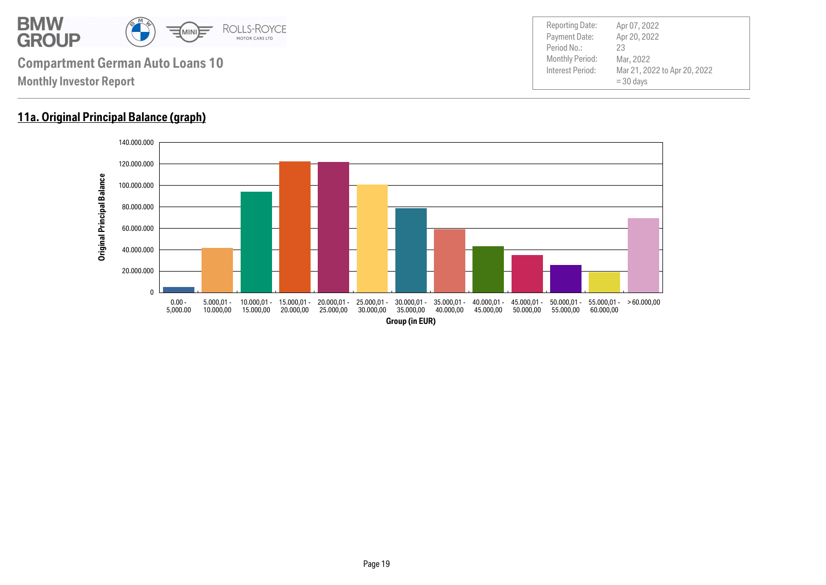

### **11a. Original Principal Balance (graph)**

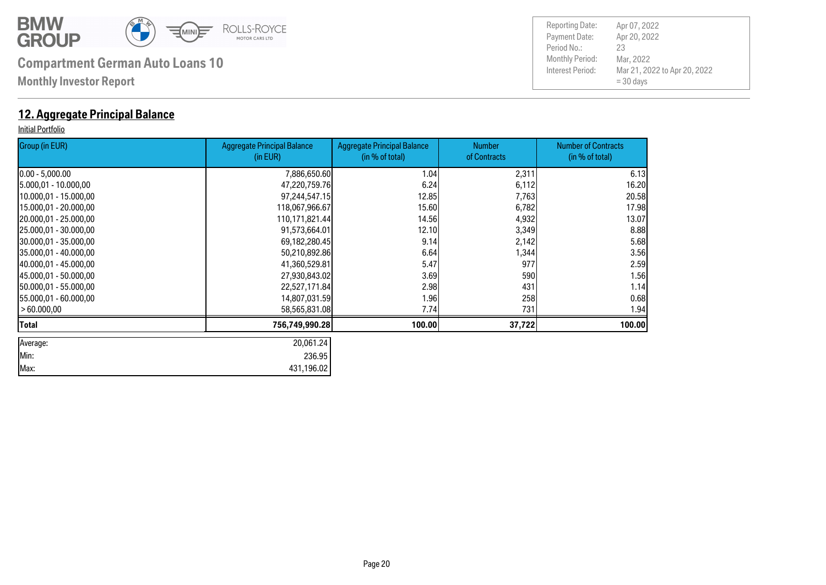

**Monthly Investor Report**

### **12. Aggregate Principal Balance**

#### Initial Portfolio

| Group (in EUR)         | <b>Aggregate Principal Balance</b><br>(in EUR) | <b>Aggregate Principal Balance</b><br>(in % of total) | <b>Number</b><br>of Contracts | <b>Number of Contracts</b><br>(in % of total) |
|------------------------|------------------------------------------------|-------------------------------------------------------|-------------------------------|-----------------------------------------------|
| $[0.00 - 5,000.00]$    | 7,886,650.60                                   | 1.04                                                  | 2,311                         | 6.13                                          |
| 15.000,01 - 10.000,00  | 47,220,759.76                                  | 6.24                                                  | 6,112                         | 16.20                                         |
| 10.000,01 - 15.000,00  | 97,244,547.15                                  | 12.85                                                 | 7,763                         | 20.58                                         |
| 15.000,01 - 20.000,00  | 118,067,966.67                                 | 15.60                                                 | 6,782                         | 17.98                                         |
| 20.000,01 - 25.000,00  | 110,171,821.44                                 | 14.56                                                 | 4,932                         | 13.07                                         |
| 25.000,01 - 30.000,00  | 91,573,664.01                                  | 12.10                                                 | 3,349                         | 8.88                                          |
| 30.000,01 - 35.000,00  | 69,182,280.45                                  | 9.14                                                  | 2,142                         | 5.68                                          |
| 135.000,01 - 40.000,00 | 50,210,892.86                                  | 6.64                                                  | 1,344                         | 3.56                                          |
| 40.000,01 - 45.000,00  | 41,360,529.81                                  | 5.47                                                  | 977                           | 2.59                                          |
| 45.000,01 - 50.000,00  | 27,930,843.02                                  | 3.69                                                  | 590                           | 1.56                                          |
| 150.000,01 - 55.000,00 | 22,527,171.84                                  | 2.98                                                  | 431                           | 1.14                                          |
| 155.000,01 - 60.000,00 | 14,807,031.59                                  | 1.96                                                  | 258                           | 0.68                                          |
| > 60.000,00            | 58,565,831.08                                  | 7.74                                                  | 731                           | 1.94                                          |
| Total                  | 756,749,990.28                                 | 100.00                                                | 37,722                        | 100.00                                        |
| Average:               | 20,061.24                                      |                                                       |                               |                                               |
| Min:                   | 236.95                                         |                                                       |                               |                                               |
| Max:                   | 431,196.02                                     |                                                       |                               |                                               |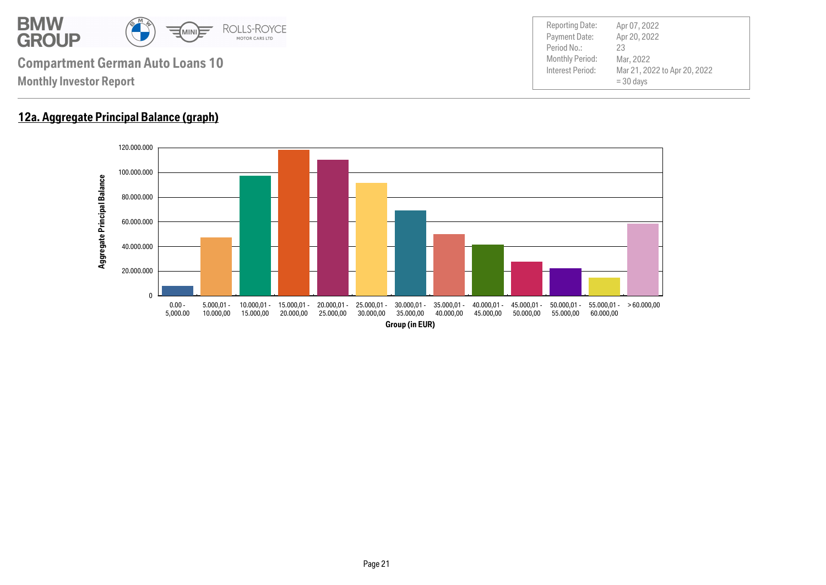

## **12a. Aggregate Principal Balance (graph)**

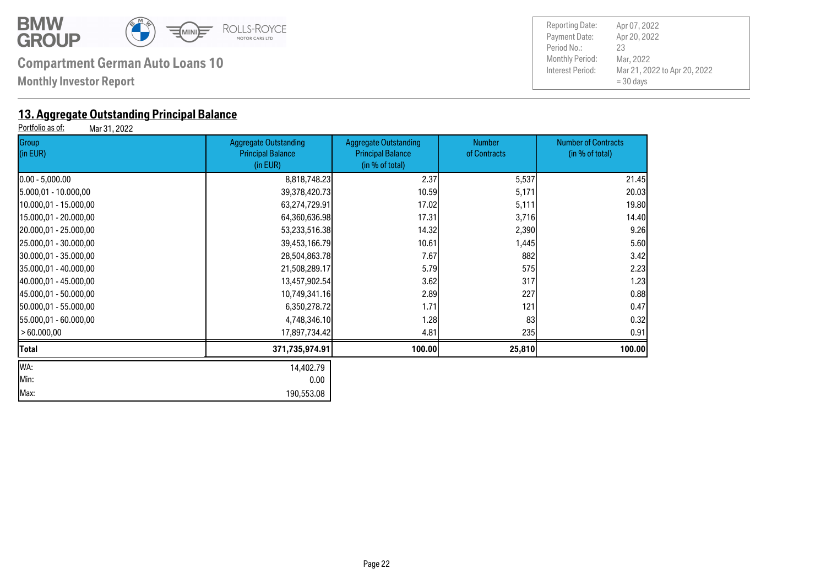

**Monthly Investor Report**

# **13. Aggregate Outstanding Principal Balance**<br>**Portfolio as of:** Mar 31, 2022

Mar 31, 2022

| Group<br>(in EUR)      | <b>Aggregate Outstanding</b><br><b>Principal Balance</b><br>(in EUR) | <b>Aggregate Outstanding</b><br><b>Principal Balance</b><br>(in % of total) | <b>Number</b><br>of Contracts | <b>Number of Contracts</b><br>(in % of total) |  |
|------------------------|----------------------------------------------------------------------|-----------------------------------------------------------------------------|-------------------------------|-----------------------------------------------|--|
| $0.00 - 5,000.00$      | 8,818,748.23                                                         | 2.37                                                                        | 5,537                         | 21.45                                         |  |
| 5.000,01 - 10.000,00   | 39,378,420.73                                                        | 10.59                                                                       | 5,171                         | 20.03                                         |  |
| 10.000,01 - 15.000,00  | 63,274,729.91                                                        | 17.02                                                                       | 5,111                         | 19.80                                         |  |
| 15.000,01 - 20.000,00  | 64,360,636.98                                                        | 17.31                                                                       | 3,716                         | 14.40                                         |  |
| 20.000,01 - 25.000,00  | 53,233,516.38                                                        | 14.32                                                                       | 2,390                         | 9.26                                          |  |
| 25.000,01 - 30.000,00  | 39,453,166.79                                                        | 10.61                                                                       | 1,445                         | 5.60                                          |  |
| 30.000,01 - 35.000,00  | 28,504,863.78                                                        | 7.67                                                                        | 882                           | 3.42                                          |  |
| 35.000,01 - 40.000,00  | 21,508,289.17                                                        | 5.79                                                                        | 575                           | 2.23                                          |  |
| 40.000,01 - 45.000,00  | 13,457,902.54                                                        | 3.62                                                                        | 317                           | 1.23                                          |  |
| 45.000,01 - 50.000,00  | 10,749,341.16                                                        | 2.89                                                                        | 227                           | 0.88                                          |  |
| 150.000,01 - 55.000,00 | 6,350,278.72                                                         | 1.71                                                                        | 121                           | 0.47                                          |  |
| [55.000,01 - 60.000,00 | 4,748,346.10                                                         | 1.28                                                                        | 83                            | 0.32                                          |  |
| >60.000,00             | 17,897,734.42                                                        | 4.81                                                                        | 235                           | 0.91                                          |  |
| Total                  | 371,735,974.91                                                       | 100.00                                                                      | 25,810                        | 100.00                                        |  |
| WA:                    | 14,402.79                                                            |                                                                             |                               |                                               |  |
| Min:                   | 0.00                                                                 |                                                                             |                               |                                               |  |
| Max:                   | 190,553.08                                                           |                                                                             |                               |                                               |  |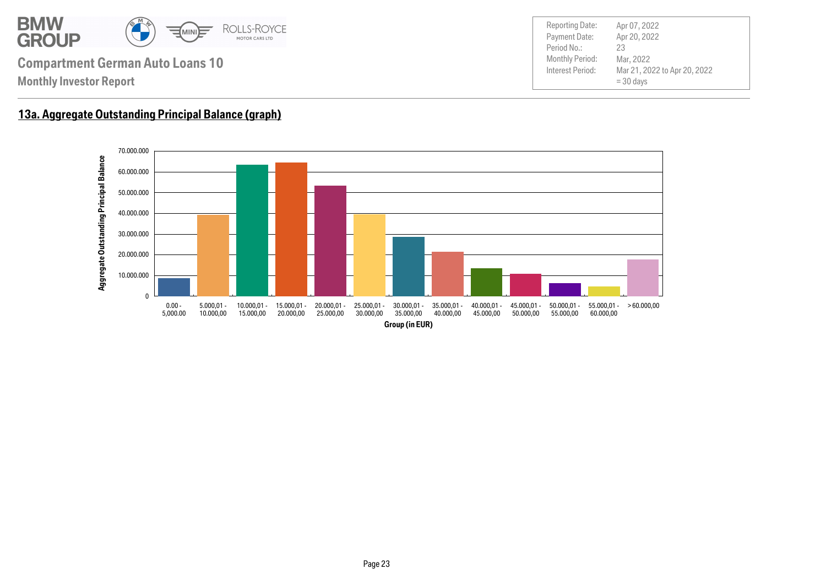

### **13a. Aggregate Outstanding Principal Balance (graph)**

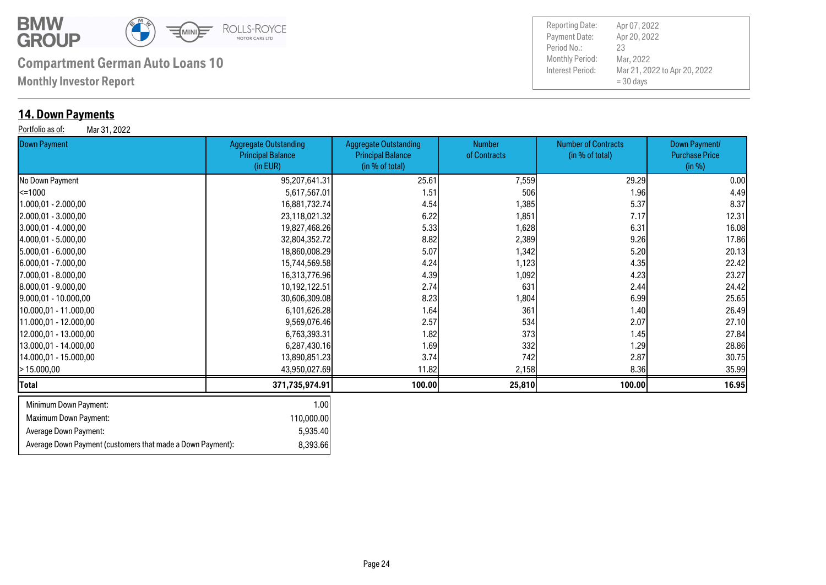

**Monthly Investor Report**

### **14. Down Payments**

Portfolio as of: Mar 31, 2022

Payment Date: Period No.: Mar 21, 2022 to Apr 20, 2022 = 30 days Apr 20, 2022 Mar, 2022 23 Reporting Date: Apr 07, 2022

| <br>Down Payment             | <b>Aggregate Outstanding</b><br><b>Principal Balance</b><br>(in EUR) | <b>Aggregate Outstanding</b><br><b>Principal Balance</b><br>(in % of total) | <b>Number</b><br>of Contracts | <b>Number of Contracts</b><br>(in % of total) | Down Payment/<br><b>Purchase Price</b><br>(in %) |
|------------------------------|----------------------------------------------------------------------|-----------------------------------------------------------------------------|-------------------------------|-----------------------------------------------|--------------------------------------------------|
| No Down Payment              | 95,207,641.31                                                        | 25.61                                                                       | 7,559                         | 29.29                                         | 0.00                                             |
| <=1000                       | 5,617,567.01                                                         | 1.51                                                                        | 506                           | 1.96                                          | 4.49                                             |
| 1.000,01 - 2.000,00          | 16,881,732.74                                                        | 4.54                                                                        | 1,385                         | 5.37                                          | 8.37                                             |
| $[2.000, 01 - 3.000, 00]$    | 23,118,021.32                                                        | 6.22                                                                        | 1,851                         | 7.17                                          | 12.31                                            |
| $3.000,01 - 4.000,00$        | 19,827,468.26                                                        | 5.33                                                                        | 1,628                         | 6.31                                          | 16.08                                            |
| 4.000,01 - 5.000,00          | 32,804,352.72                                                        | 8.82                                                                        | 2,389                         | 9.26                                          | 17.86                                            |
| $[5.000, 01 - 6.000, 00]$    | 18,860,008.29                                                        | 5.07                                                                        | 1,342                         | 5.20                                          | 20.13                                            |
| $6.000,01 - 7.000,00$        | 15,744,569.58                                                        | 4.24                                                                        | 1,123                         | 4.35                                          | 22.42                                            |
| 7.000,01 - 8.000,00          | 16,313,776.96                                                        | 4.39                                                                        | 1,092                         | 4.23                                          | 23.27                                            |
| 8.000,01 - 9.000,00          | 10,192,122.51                                                        | 2.74                                                                        | 631                           | 2.44                                          | 24.42                                            |
| $[9.000, 01 - 10.000, 00]$   | 30,606,309.08                                                        | 8.23                                                                        | 1,804                         | 6.99                                          | 25.65                                            |
| 10.000,01 - 11.000,00        | 6,101,626.28                                                         | 1.64                                                                        | 361                           | 1.40                                          | 26.49                                            |
| 11.000,01 - 12.000,00        | 9,569,076.46                                                         | 2.57                                                                        | 534                           | 2.07                                          | 27.10                                            |
| 12.000,01 - 13.000,00        | 6,763,393.31                                                         | 1.82                                                                        | 373                           | 1.45                                          | 27.84                                            |
| 13.000,01 - 14.000,00        | 6,287,430.16                                                         | 1.69                                                                        | 332                           | 1.29                                          | 28.86                                            |
| 14.000,01 - 15.000,00        | 13,890,851.23                                                        | 3.74                                                                        | 742                           | 2.87                                          | 30.75                                            |
| - 15.000,00                  | 43,950,027.69                                                        | 11.82                                                                       | 2,158                         | 8.36                                          | 35.99                                            |
| Total                        | 371,735,974.91                                                       | 100.00                                                                      | 25,810                        | 100.00                                        | 16.95                                            |
| Minimum Down Payment:        | 1.00                                                                 |                                                                             |                               |                                               |                                                  |
| <b>Maximum Down Payment:</b> | 110,000.00                                                           |                                                                             |                               |                                               |                                                  |
| Average Down Payment:        | 5,935.40                                                             |                                                                             |                               |                                               |                                                  |

Average Down Payment (customers that made a Down Payment): 8,393.66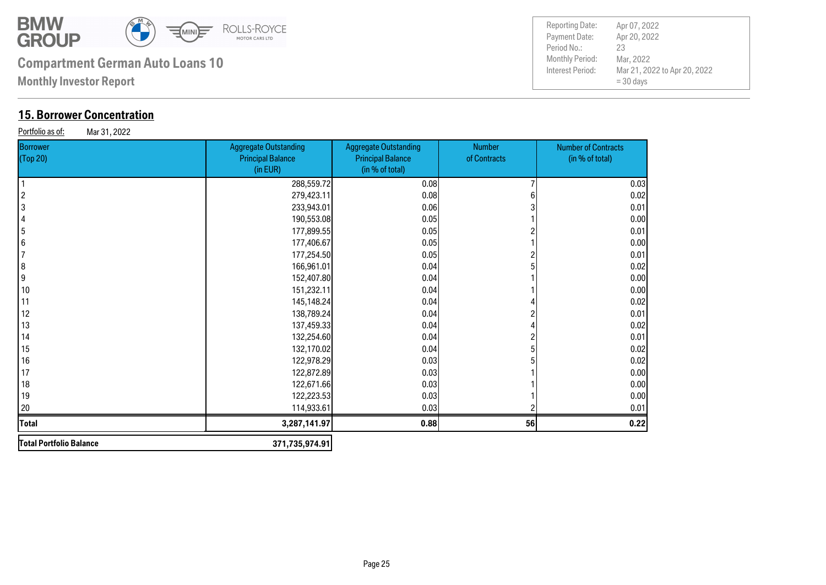

**Monthly Investor Report**

## **15. Borrower Concentration**

Portfolio as of: Mar 31, 2022

| Borrower<br>(Top 20)    | <b>Aggregate Outstanding</b><br><b>Principal Balance</b><br>(in EUR) | <b>Aggregate Outstanding</b><br><b>Principal Balance</b><br>(in % of total) | Number<br>of Contracts | <b>Number of Contracts</b><br>(in % of total) |
|-------------------------|----------------------------------------------------------------------|-----------------------------------------------------------------------------|------------------------|-----------------------------------------------|
|                         | 288,559.72                                                           | 0.08                                                                        |                        | 0.03                                          |
| $\overline{\mathbf{c}}$ | 279,423.11                                                           | 0.08                                                                        |                        | 0.02                                          |
| 3                       | 233,943.01                                                           | 0.06                                                                        |                        | 0.01                                          |
| $\overline{4}$          | 190,553.08                                                           | 0.05                                                                        |                        | 0.00                                          |
| $\overline{\mathbf{5}}$ | 177,899.55                                                           | 0.05                                                                        |                        | 0.01                                          |
| 6                       | 177,406.67                                                           | 0.05                                                                        |                        | 0.00                                          |
| $\overline{7}$          | 177,254.50                                                           | 0.05                                                                        |                        | 0.01                                          |
| 8                       | 166,961.01                                                           | 0.04                                                                        |                        | 0.02                                          |
| 9                       | 152,407.80                                                           | 0.04                                                                        |                        | 0.00                                          |
| 10                      | 151,232.11                                                           | 0.04                                                                        |                        | 0.00                                          |
| 11                      | 145,148.24                                                           | 0.04                                                                        |                        | 0.02                                          |
| 12                      | 138,789.24                                                           | 0.04                                                                        |                        | 0.01                                          |
| 13                      | 137,459.33                                                           | 0.04                                                                        |                        | 0.02                                          |
| 14                      | 132,254.60                                                           | 0.04                                                                        |                        | 0.01                                          |
| 15                      | 132,170.02                                                           | 0.04                                                                        |                        | 0.02                                          |
| 16                      | 122,978.29                                                           | 0.03                                                                        |                        | 0.02                                          |
| 17                      | 122,872.89                                                           | 0.03                                                                        |                        | 0.00                                          |
| 18                      | 122,671.66                                                           | 0.03                                                                        |                        | 0.00                                          |
| 19                      | 122,223.53                                                           | 0.03                                                                        |                        | 0.00                                          |
| 20                      | 114,933.61                                                           | 0.03                                                                        |                        | 0.01                                          |
| <b>Total</b>            | 3,287,141.97                                                         | 0.88                                                                        | 56                     | 0.22                                          |
| Total Portfolio Balance | 371,735,974.91                                                       |                                                                             |                        |                                               |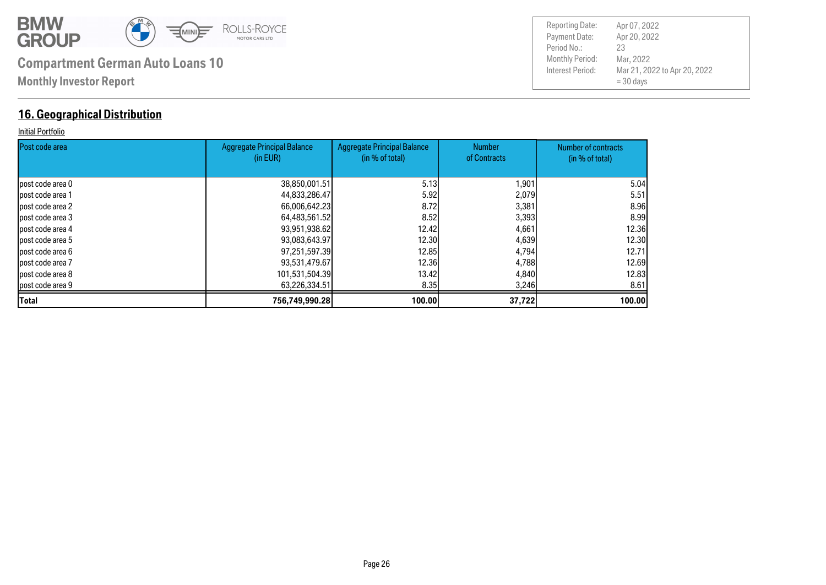

### **16. Geographical Distribution**

#### Initial Portfolio

| <b>IPost code area</b> | <b>Aggregate Principal Balance</b><br>(in EUR) | <b>Aggregate Principal Balance</b><br>(in % of total) | <b>Number</b><br>of Contracts | Number of contracts |
|------------------------|------------------------------------------------|-------------------------------------------------------|-------------------------------|---------------------|
|                        |                                                |                                                       |                               | (in % of total)     |
| lpost code area 0      | 38,850,001.51                                  | 5.13                                                  | 1,901                         | 5.04                |
| lpost code area 1      | 44,833,286.47                                  | 5.92                                                  | 2,079                         | 5.51                |
| post code area 2       | 66,006,642.23                                  | 8.72I                                                 | 3,381                         | 8.96I               |
| lpost code area 3      | 64,483,561.52                                  | 8.52                                                  | 3,393                         | 8.99                |
| lpost code area 4      | 93,951,938.62                                  | 12.42 <b>1</b>                                        | 4,661                         | 12.36               |
| post code area 5       | 93,083,643.97                                  | 12.30 <b>I</b>                                        | 4,639                         | 12.30               |
| lpost code area 6      | 97,251,597.39                                  | 12.85                                                 | 4,794                         | 12.71               |
| post code area 7       | 93,531,479.67                                  | 12,36                                                 | 4,788                         | 12.69               |
| lpost code area 8      | 101,531,504.39                                 | 13.42 <b>1</b>                                        | 4,840                         | 12.83               |
| post code area 9       | 63,226,334.51                                  | 8.35                                                  | 3,246                         | 8.61                |
| <b>Total</b>           | 756,749,990.28                                 | 100.00                                                | 37,722                        | 100.00              |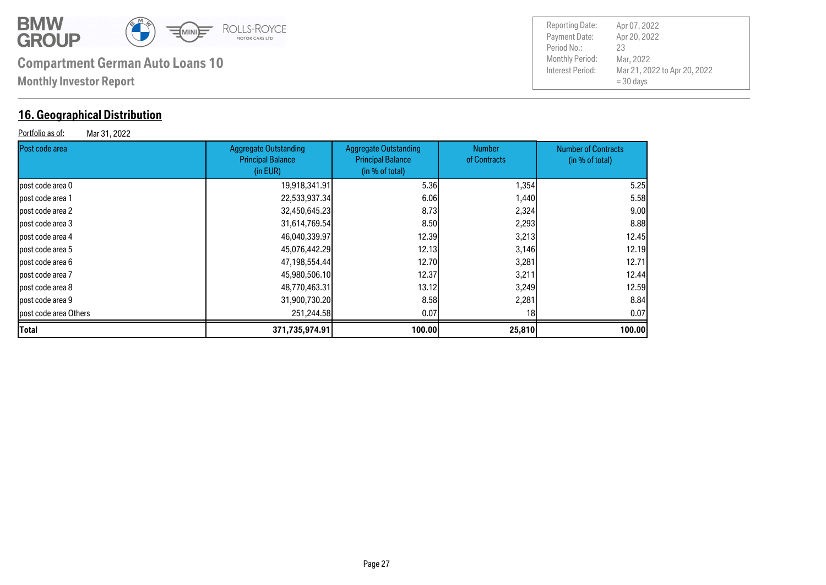

## **16. Geographical Distribution**

Portfolio as of: Mar 31, 2022

| <b>Reporting Date:</b> | Apr 07, 2022                 |
|------------------------|------------------------------|
| Payment Date:          | Apr 20, 2022                 |
| Period No.:            | 23                           |
| <b>Monthly Period:</b> | Mar, 2022                    |
| Interest Period:       | Mar 21, 2022 to Apr 20, 2022 |
|                        | $=$ 30 days                  |

| <b>IPost code area</b> | <b>Aggregate Outstanding</b><br><b>Principal Balance</b><br>(in EUR) | <b>Aggregate Outstanding</b><br><b>Principal Balance</b><br>(in % of total) | Number<br>of Contracts | <b>Number of Contracts</b><br>(in % of total) |
|------------------------|----------------------------------------------------------------------|-----------------------------------------------------------------------------|------------------------|-----------------------------------------------|
| lpost code area 0      | 19,918,341.91                                                        | 5.36                                                                        | 1,354                  | 5.25                                          |
| lpost code area 1      | 22,533,937.34                                                        | 6.06                                                                        | 1,440                  | 5.58                                          |
| lpost code area 2      | 32,450,645.23                                                        | 8.73                                                                        | 2,324                  | 9.00                                          |
| post code area 3       | 31,614,769.54                                                        | 8.50                                                                        | 2,293                  | 8.88                                          |
| lpost code area 4      | 46,040,339.97                                                        | 12.39                                                                       | 3,213                  | 12.45                                         |
| lpost code area 5      | 45,076,442.29                                                        | 12.13                                                                       | 3,146                  | 12.19                                         |
| lpost code area 6      | 47,198,554.44                                                        | 12.70                                                                       | 3,281                  | 12.71                                         |
| lpost code area 7      | 45,980,506.10                                                        | 12.37                                                                       | 3,211                  | 12.44                                         |
| lpost code area 8      | 48,770,463.31                                                        | 13.12                                                                       | 3,249                  | 12.59                                         |
| lpost code area 9      | 31,900,730.20                                                        | 8.58                                                                        | 2,281                  | 8.84                                          |
| post code area Others  | 251,244.58                                                           | 0.07                                                                        | 18 <sub>l</sub>        | 0.07                                          |
| Total                  | 371,735,974.91                                                       | 100.00                                                                      | 25,810                 | 100.00                                        |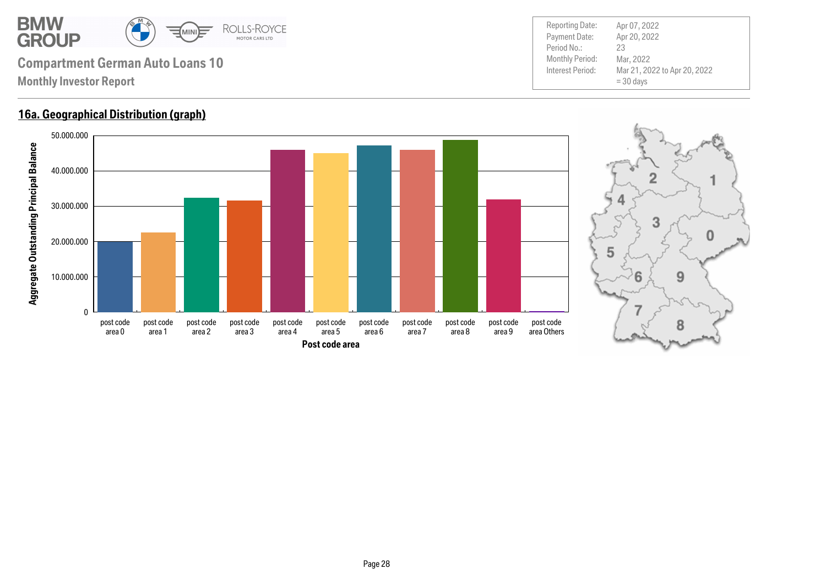

### **16a. Geographical Distribution (graph)**



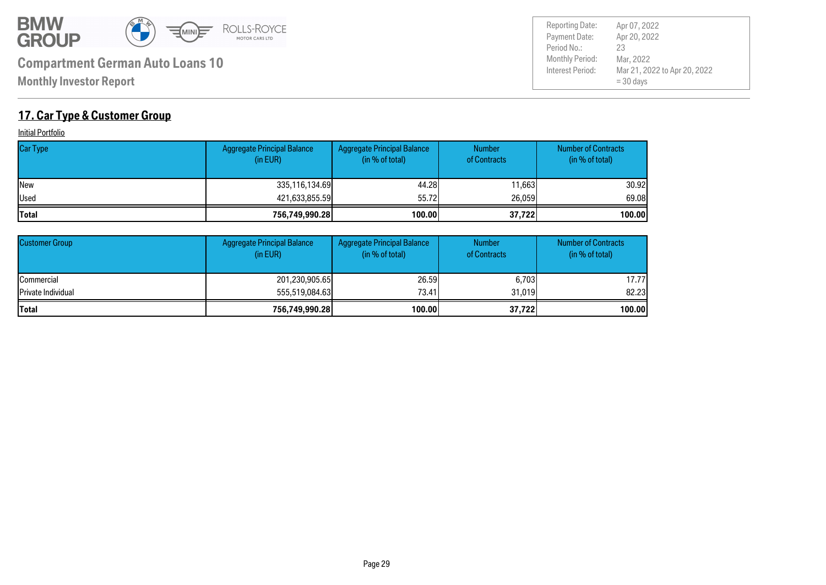

Payment Date: Period No.: Mar 21, 2022 to Apr 20, 2022 = 30 days Apr 20, 2022 Mar, 2022 23 Reporting Date: Apr 07, 2022

## **17. Car Type & Customer Group**

**Initial Portfolio** 

| <b>Car Type</b> | <b>Aggregate Principal Balance</b><br>(in EUR) | Aggregate Principal Balance<br>(in % of total) | <b>Number</b><br>of Contracts | <b>Number of Contracts</b><br>(in % of total) |
|-----------------|------------------------------------------------|------------------------------------------------|-------------------------------|-----------------------------------------------|
| <b>INew</b>     | 335,116,134.69                                 | 44.28                                          | 11.663                        | 30.92l                                        |
| Used            | 421,633,855.59                                 | 55.72                                          | 26,059                        | 69.08                                         |
| <b>Total</b>    | 756,749,990.28                                 | 100.00                                         | 37,722                        | 100.00                                        |

| <b>Customer Group</b>      | <b>Aggregate Principal Balance</b><br>(in EUR) | <b>Aggregate Principal Balance</b><br>(in % of total) | <b>Number</b><br>of Contracts | <b>Number of Contracts</b><br>(in % of total) |
|----------------------------|------------------------------------------------|-------------------------------------------------------|-------------------------------|-----------------------------------------------|
| <b>ICommercial</b>         | 201,230,905.65                                 | 26.59                                                 | 6,703                         | 17.77                                         |
| <b>IPrivate Individual</b> | 555,519,084,63                                 | 73.41                                                 | 31,019                        | 82.23                                         |
| <b>Total</b>               | 756,749,990.28                                 | 100.00                                                | 37,722                        | 100.00                                        |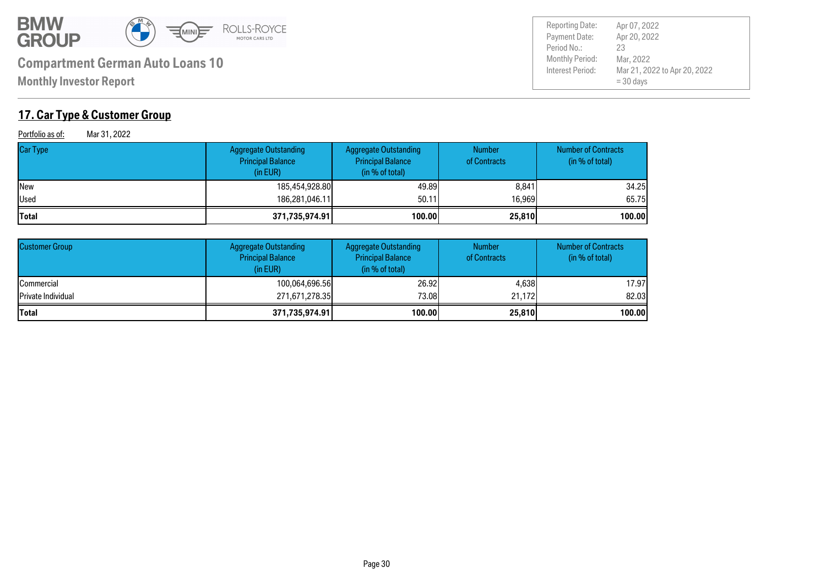

**Monthly Investor Report**

## **17. Car Type & Customer Group**

Portfolio as of: Mar 31, 2022

| <b>Car Type</b> | Aggregate Outstanding<br><b>Principal Balance</b><br>(in EUR) | <b>Aggregate Outstanding</b><br><b>Principal Balance</b><br>(in % of total) | <b>Number</b><br>of Contracts | <b>Number of Contracts</b><br>(in % of total) |
|-----------------|---------------------------------------------------------------|-----------------------------------------------------------------------------|-------------------------------|-----------------------------------------------|
| <b>New</b>      | 185,454,928.80                                                | 49.89                                                                       | 8,841                         | 34.25                                         |
| <b>I</b> Used   | 186.281.046.11                                                | 50.11                                                                       | 16,969                        | 65.75                                         |
| <b>Total</b>    | 371,735,974.91                                                | 100.00                                                                      | 25,810                        | 100.00                                        |

| <b>Customer Group</b>      | <b>Aggregate Outstanding</b><br><b>Principal Balance</b><br>(in EUR) | <b>Aggregate Outstanding</b><br><b>Principal Balance</b><br>(in % of total) | <b>Number</b><br>of Contracts | <b>Number of Contracts</b><br>(in % of total) |
|----------------------------|----------------------------------------------------------------------|-----------------------------------------------------------------------------|-------------------------------|-----------------------------------------------|
| <b>Commercial</b>          | 100,064,696.56                                                       | 26,92                                                                       | 4.638                         | 17.97                                         |
| <b>IPrivate Individual</b> | 271,671,278.35                                                       | 73.08                                                                       | 21.172                        | 82,03                                         |
| <b>Total</b>               | 371,735,974.91                                                       | 100.00                                                                      | 25,810                        | 100.00                                        |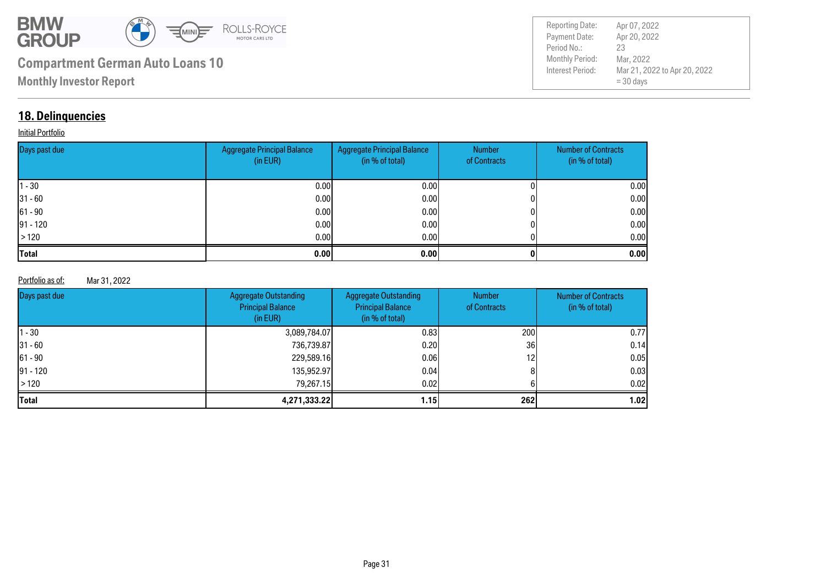

Payment Date: Period No.: Mar 21, 2022 to Apr 20, 2022 = 30 days Apr 20, 2022 Mar, 2022 23 Reporting Date: Apr 07, 2022

### **18. Delinquencies**

#### **Initial Portfolio**

| Days past due | <b>Aggregate Principal Balance</b><br>(in EUR) | Aggregate Principal Balance<br>(in % of total) | Number<br>of Contracts | <b>Number of Contracts</b><br>(in % of total) |
|---------------|------------------------------------------------|------------------------------------------------|------------------------|-----------------------------------------------|
| $ 1 - 30 $    | 0.00                                           | 0.00 <sub>l</sub>                              |                        | 0.00                                          |
| $ 31 - 60 $   | 0.00                                           | 0.001                                          |                        | 0.00                                          |
| $ 61 - 90 $   | 0.00                                           | 0.001                                          |                        | 0.00                                          |
| $ 91 - 120 $  | 0.00                                           | 0.001                                          |                        | 0.00                                          |
| >120          | 0.00                                           | 0.001                                          |                        | 0.00                                          |
| <b>Total</b>  | 0.00                                           | 0.00                                           |                        | 0.00                                          |

#### Portfolio as of: Mar 31, 2022

| Days past due | <b>Aggregate Outstanding</b><br><b>Principal Balance</b><br>(in EUR) | <b>Aggregate Outstanding</b><br><b>Principal Balance</b><br>(in % of total) | <b>Number</b><br>of Contracts | <b>Number of Contracts</b><br>(in % of total) |
|---------------|----------------------------------------------------------------------|-----------------------------------------------------------------------------|-------------------------------|-----------------------------------------------|
| $ 1 - 30 $    | 3,089,784.07                                                         | 0.831                                                                       | <b>2001</b>                   | 0.77                                          |
| $31 - 60$     | 736,739.87                                                           | 0.20                                                                        | 36I                           | 0.14                                          |
| $ 61 - 90 $   | 229,589.16                                                           | 0.06                                                                        | 12 <sup>1</sup>               | 0.05                                          |
| $91 - 120$    | 135,952.97                                                           | 0.04                                                                        |                               | 0.03                                          |
| $\vert$ > 120 | 79.267.15                                                            | 0.02                                                                        |                               | 0.02                                          |
| <b>Total</b>  | 4,271,333.22                                                         | 1.15 <sub>1</sub>                                                           | 262                           | 1.02                                          |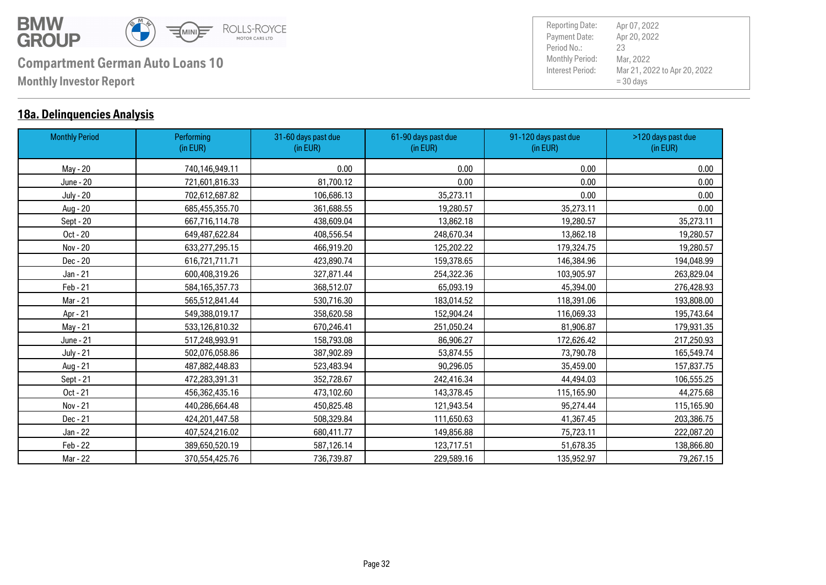

### **18a. Delinquencies Analysis**

| <b>Monthly Period</b> | Performing<br>(in EUR) | 31-60 days past due<br>(in EUR) | 61-90 days past due<br>(in EUR) | 91-120 days past due<br>(in EUR) | >120 days past due<br>(in EUR) |
|-----------------------|------------------------|---------------------------------|---------------------------------|----------------------------------|--------------------------------|
| May - 20              | 740,146,949.11         | 0.00                            | 0.00                            | 0.00                             | 0.00                           |
| June - 20             | 721,601,816.33         | 81,700.12                       | 0.00                            | 0.00                             | 0.00                           |
| <b>July - 20</b>      | 702,612,687.82         | 106,686.13                      | 35,273.11                       | 0.00                             | 0.00                           |
| Aug - 20              | 685,455,355.70         | 361,688.55                      | 19,280.57                       | 35,273.11                        | 0.00                           |
| Sept - 20             | 667,716,114.78         | 438,609.04                      | 13,862.18                       | 19,280.57                        | 35,273.11                      |
| Oct - 20              | 649,487,622.84         | 408,556.54                      | 248,670.34                      | 13,862.18                        | 19,280.57                      |
| Nov - 20              | 633,277,295.15         | 466,919.20                      | 125,202.22                      | 179,324.75                       | 19,280.57                      |
| Dec - 20              | 616,721,711.71         | 423,890.74                      | 159,378.65                      | 146,384.96                       | 194,048.99                     |
| Jan - 21              | 600,408,319.26         | 327,871.44                      | 254,322.36                      | 103,905.97                       | 263,829.04                     |
| Feb - 21              | 584, 165, 357. 73      | 368,512.07                      | 65,093.19                       | 45,394.00                        | 276,428.93                     |
| Mar - 21              | 565,512,841.44         | 530,716.30                      | 183,014.52                      | 118,391.06                       | 193,808.00                     |
| Apr - 21              | 549,388,019.17         | 358,620.58                      | 152,904.24                      | 116,069.33                       | 195,743.64                     |
| May - 21              | 533,126,810.32         | 670,246.41                      | 251,050.24                      | 81,906.87                        | 179,931.35                     |
| June - 21             | 517,248,993.91         | 158,793.08                      | 86,906.27                       | 172,626.42                       | 217,250.93                     |
| <b>July - 21</b>      | 502,076,058.86         | 387,902.89                      | 53,874.55                       | 73,790.78                        | 165,549.74                     |
| Aug - 21              | 487,882,448.83         | 523,483.94                      | 90,296.05                       | 35,459.00                        | 157,837.75                     |
| Sept - 21             | 472,283,391.31         | 352,728.67                      | 242,416.34                      | 44,494.03                        | 106,555.25                     |
| Oct - 21              | 456,362,435.16         | 473,102.60                      | 143,378.45                      | 115,165.90                       | 44,275.68                      |
| Nov - 21              | 440,286,664.48         | 450,825.48                      | 121,943.54                      | 95,274.44                        | 115,165.90                     |
| Dec - 21              | 424,201,447.58         | 508,329.84                      | 111,650.63                      | 41,367.45                        | 203,386.75                     |
| Jan - 22              | 407,524,216.02         | 680,411.77                      | 149,856.88                      | 75,723.11                        | 222,087.20                     |
| Feb - 22              | 389,650,520.19         | 587,126.14                      | 123,717.51                      | 51,678.35                        | 138,866.80                     |
| Mar - 22              | 370,554,425.76         | 736,739.87                      | 229,589.16                      | 135,952.97                       | 79,267.15                      |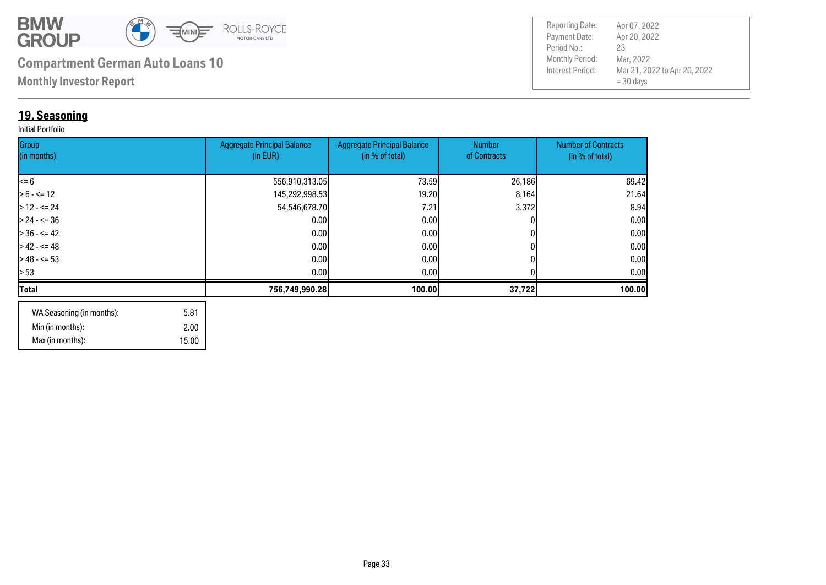

**Monthly Investor Report**

## **19. Seasoning**

#### Initial Portfolio

| Group<br>(in months) | <b>Aggregate Principal Balance</b><br>(in EUR) | <b>Aggregate Principal Balance</b><br>(in % of total) | Number<br>of Contracts | <b>Number of Contracts</b><br>(in % of total) |
|----------------------|------------------------------------------------|-------------------------------------------------------|------------------------|-----------------------------------------------|
|                      |                                                |                                                       |                        |                                               |
| $\leq 6$             | 556,910,313.05                                 | 73.59                                                 | 26,186                 | 69.42                                         |
| $> 6 - \le 12$       | 145,292,998.53                                 | 19.20                                                 | 8,164                  | 21.64                                         |
| $>12 - 52$           | 54,546,678.70                                  | 7.21                                                  | 3,372                  | 8.94                                          |
| $> 24 - 5 = 36$      | 0.00                                           | 0.00                                                  |                        | 0.00                                          |
| $> 36 - 5 = 42$      | 0.00                                           | 0.00                                                  |                        | 0.00                                          |
| $>42 - 5 = 48$       | 0.00                                           | 0.00                                                  |                        | 0.00                                          |
| $>$ 48 - <= 53       | 0.00                                           | 0.001                                                 |                        | 0.00                                          |
| > 53                 | 0.00                                           | 0.00 <sub>l</sub>                                     |                        | 0.00 <sub>l</sub>                             |
| Total                | 756,749,990.28                                 | 100.00                                                | 37,722                 | 100.00                                        |
|                      |                                                |                                                       |                        |                                               |

| WA Seasoning (in months): | 5.81  |
|---------------------------|-------|
| Min (in months):          | 2.00  |
| Max (in months):          | 15.00 |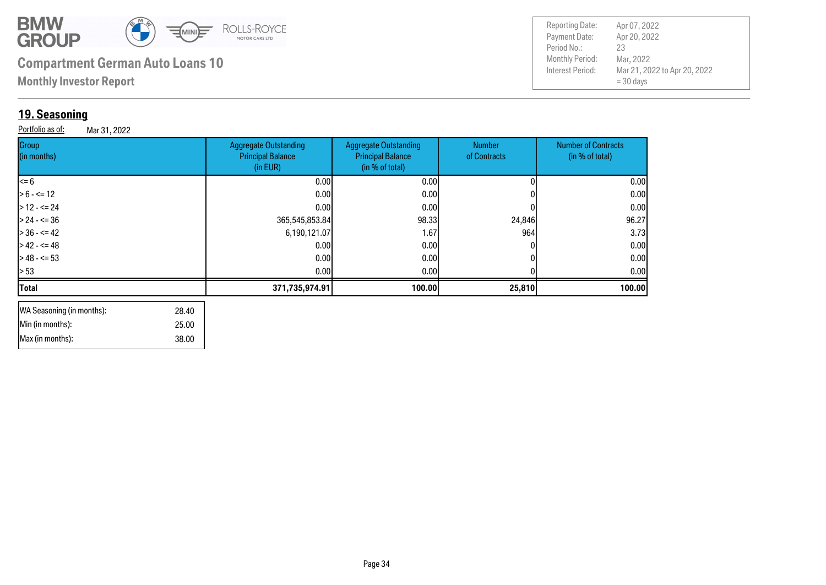

**Monthly Investor Report**

## **19. Seasoning**

**Group** 

Portfolio as of: Mar 31, 2022

|                                                                      |                                                                             |                        | Interest Period:<br>Mar 21, 2022 to Apr 20, 2022<br>$=$ 30 days |  |
|----------------------------------------------------------------------|-----------------------------------------------------------------------------|------------------------|-----------------------------------------------------------------|--|
|                                                                      |                                                                             |                        |                                                                 |  |
|                                                                      |                                                                             |                        |                                                                 |  |
| <b>Aggregate Outstanding</b><br><b>Principal Balance</b><br>(in EUR) | <b>Aggregate Outstanding</b><br><b>Principal Balance</b><br>(in % of total) | Number<br>of Contracts | <b>Number of Contracts</b><br>(in % of total)                   |  |
|                                                                      |                                                                             |                        |                                                                 |  |

Payment Date: Period No.:

Reporting Date: Apr 07, 2022

Apr 20, 2022

Mar, 2022 23

| (in months)    | <b>Principal Balance</b><br>(in EUR) | <b>Principal Balance</b><br>(in % of total) | of Contracts | (in % of total) |
|----------------|--------------------------------------|---------------------------------------------|--------------|-----------------|
| <= 6           | 0.00                                 | 0.00                                        |              | 0.00            |
| $> 6 - \le 12$ | 0.00                                 | 0.00                                        |              | 0.00            |
| $>$ 12 - <= 24 | 0.001                                | 0.00                                        |              | 0.00            |
| $>$ 24 - <= 36 | 365,545,853.84                       | 98.33                                       | 24,846       | 96.27           |
| > 36 - <= 42   | 6,190,121.07                         | 1.67                                        | 964          | 3.73            |
| > 42 - <= 48   | 0.00                                 | 0.00                                        |              | 0.00            |
| $>48 - 53$     | 0.00                                 | 0.00                                        |              | 0.00            |
| > 53           | 0.00                                 | 0.00 <sub>l</sub>                           |              | 0.00            |
| Total          | 371,735,974.91                       | 100.00                                      | 25,810       | 100.00          |
|                |                                      |                                             |              |                 |

| WA Seasoning (in months): | 28.40 |
|---------------------------|-------|
| Min (in months):          | 25.00 |
| IMax (in months):         | 38.00 |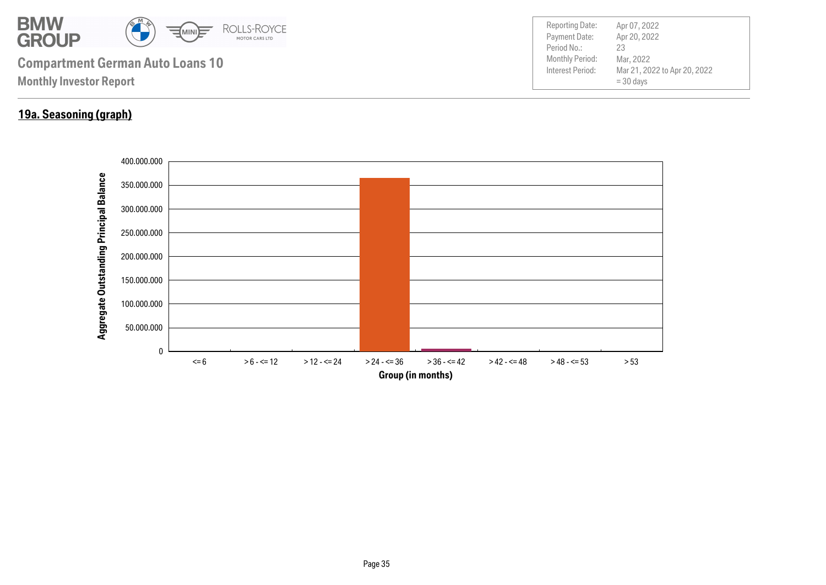

## **19a. Seasoning (graph)**

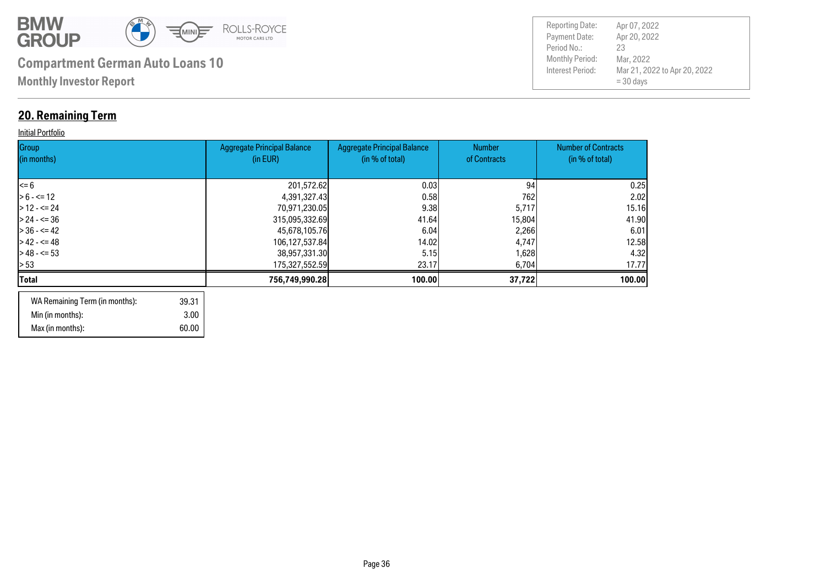

## **20. Remaining Term**

#### **Initial Portfolio**

| Group<br>(in months) | <b>Aggregate Principal Balance</b><br>(in EUR) | <b>Aggregate Principal Balance</b><br>(in % of total) | <b>Number</b><br>of Contracts | <b>Number of Contracts</b><br>(in % of total) |
|----------------------|------------------------------------------------|-------------------------------------------------------|-------------------------------|-----------------------------------------------|
| $\leq 6$             | 201,572.62                                     | 0.03                                                  | 94                            | 0.25                                          |
| $> 6 - \le 12$       | 4,391,327.43                                   | 0.58                                                  | 762                           | 2.02                                          |
| $>12 - 524$          | 70,971,230.05                                  | 9.38                                                  | 5,717                         | 15.16                                         |
| $> 24 - 5 = 36$      | 315,095,332.69                                 | 41.64                                                 | 15,804                        | 41.90                                         |
| $> 36 - 5 = 42$      | 45,678,105.76                                  | 6.04                                                  | 2,266                         | 6.01                                          |
| $> 42 - 5 = 48$      | 106,127,537.84                                 | 14.02                                                 | 4,747                         | 12.58                                         |
| $> 48 - 53$          | 38,957,331.30                                  | 5.15                                                  | 1,628                         | 4.32                                          |
| > 53                 | 175,327,552.59                                 | 23.17                                                 | 6,704                         | 17.77                                         |
| Total                | 756,749,990.28                                 | 100.00                                                | 37,722                        | 100.00                                        |
|                      |                                                |                                                       |                               |                                               |

| WA Remaining Term (in months): | 39.31 |
|--------------------------------|-------|
| Min (in months):               | 3.00  |
| Max (in months):               | 60.00 |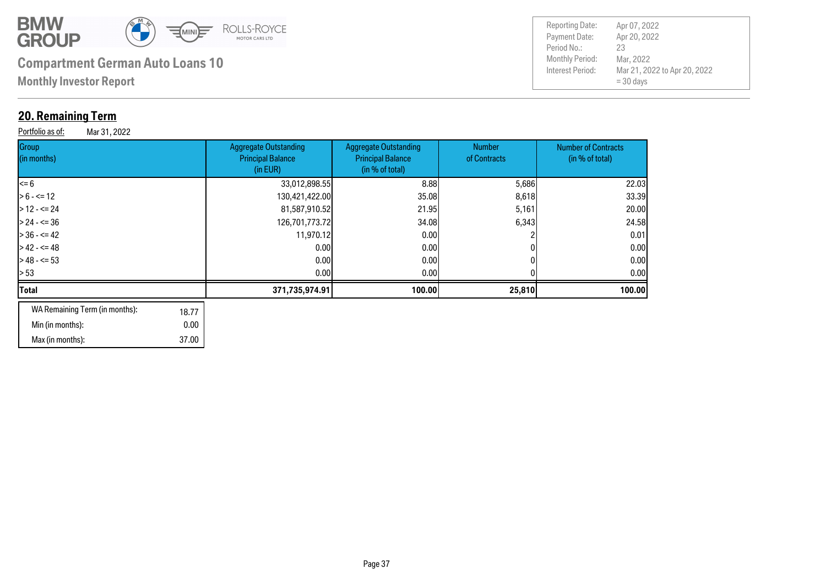

 37.00 0.00 18.77

# **Compartment German Auto Loans 10** Monthly Period:

**Monthly Investor Report**

## **20. Remaining Term**

Min (in months): Max (in months):

WA Remaining Term (in months):

**Group** (in months)

| <b>20. Remaining Term</b><br>Portfolio as of:<br>Mar 31, 2022 |                                                                      |                                                                             |                               |                                               |
|---------------------------------------------------------------|----------------------------------------------------------------------|-----------------------------------------------------------------------------|-------------------------------|-----------------------------------------------|
| Group<br>(in months)                                          | <b>Aggregate Outstanding</b><br><b>Principal Balance</b><br>(in EUR) | <b>Aggregate Outstanding</b><br><b>Principal Balance</b><br>(in % of total) | <b>Number</b><br>of Contracts | <b>Number of Contracts</b><br>(in % of total) |
| <= 6                                                          | 33,012,898.55                                                        | 8.88                                                                        | 5,686                         | 22.03                                         |
| $> 6 - \le 12$                                                | 130,421,422.00                                                       | 35.08                                                                       | 8,618                         | 33,39                                         |
| $>$ 12 - <= 24                                                | 81,587,910.52                                                        | 21.95                                                                       | 5,161                         | 20.00                                         |
| $> 24 - 5 = 36$                                               | 126,701,773.72                                                       | 34.08                                                                       | 6,343                         | 24.58                                         |
| $>$ 36 - <= 42                                                | 11,970.12                                                            | 0.001                                                                       |                               | 0.01                                          |
| $>42 - 5 = 48$                                                | 0.00                                                                 | 0.00                                                                        | 0                             | 0.00                                          |

> 48 - <= 53 0.00 0.00 0 0.00 > 53 0.00 0.00 0 0.00 **Total 371,735,974.91 100.00 25,810 100.00**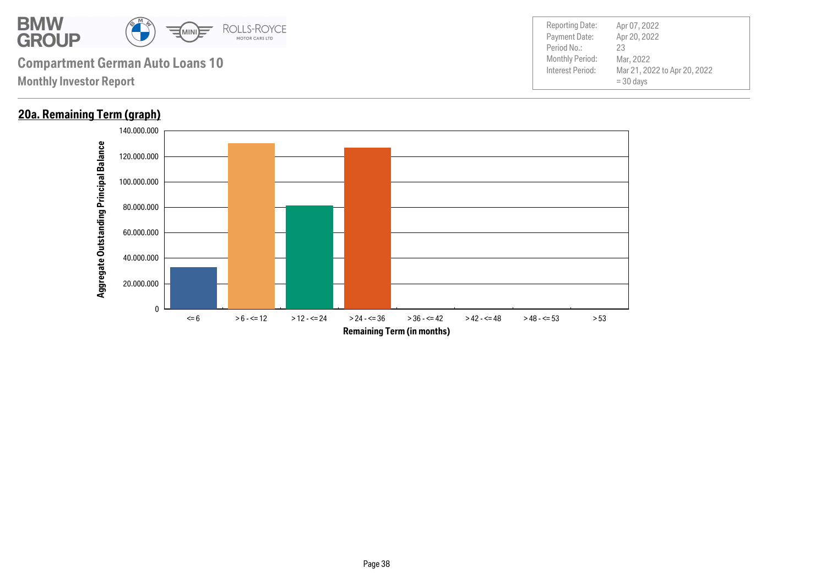

### **20a. Remaining Term (graph)**

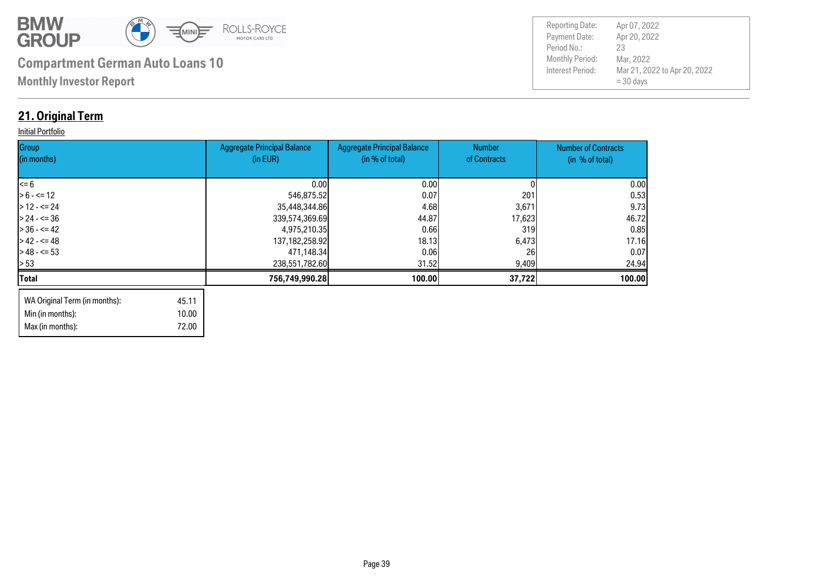

Max (in months): 72.00

| <b>Reporting Date:</b> | Apr 07, 2022                                |
|------------------------|---------------------------------------------|
| Payment Date:          | Apr 20, 2022                                |
| Period No.:            | 23                                          |
| <b>Monthly Period:</b> | Mar, 2022                                   |
| Interest Period:       | Mar 21, 2022 to Apr 20, 2022<br>$=$ 30 days |

## **21. Original Term**

#### **Initial Portfolio**

| Group<br>(in months)          |       | <b>Aggregate Principal Balance</b><br>(in EUR) | <b>Aggregate Principal Balance</b><br>(in % of total) | Number<br>of Contracts | <b>Number of Contracts</b><br>(in % of total) |
|-------------------------------|-------|------------------------------------------------|-------------------------------------------------------|------------------------|-----------------------------------------------|
|                               |       |                                                |                                                       |                        |                                               |
| l<= 6                         |       | 0.00                                           | 0.00                                                  |                        | 0.00                                          |
| $> 6 - \le 12$                |       | 546,875.52                                     | 0.07                                                  | 201                    | 0.53                                          |
| $>12 - 524$                   |       | 35,448,344.86                                  | 4.68                                                  | 3,671                  | 9.73                                          |
| $> 24 - 5 = 36$               |       | 339,574,369.69                                 | 44.87                                                 | 17,623                 | 46.72                                         |
| $> 36 - 5 = 42$               |       | 4,975,210.35                                   | 0.66                                                  | 319                    | 0.85                                          |
| $> 42 - 5 = 48$               |       | 137, 182, 258. 92                              | 18.13                                                 | 6,473                  | 17.16                                         |
| $> 48 - 53$                   |       | 471,148.34                                     | 0.06                                                  | 26                     | 0.07                                          |
| l> 53                         |       | 238,551,782.60                                 | 31.52                                                 | 9,409                  | 24.94                                         |
| Total                         |       | 756,749,990.28                                 | 100.00                                                | 37,722                 | 100.00                                        |
| WA Original Term (in months): | 45.11 |                                                |                                                       |                        |                                               |
| Min (in months):              | 10.00 |                                                |                                                       |                        |                                               |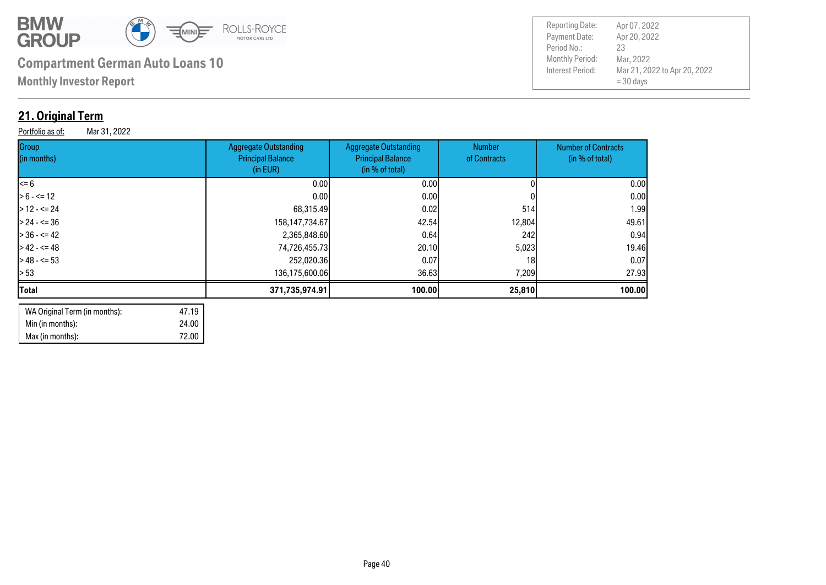

**Monthly Investor Report**

## **21. Original Term**

Portfolio as of: Mar 31, 2022

| Group<br>(in months) | <b>Aggregate Outstanding</b><br><b>Principal Balance</b><br>(in EUR) | Aggregate Outstanding<br><b>Principal Balance</b><br>(in % of total) | Number<br>of Contracts | <b>Number of Contracts</b><br>(in % of total) |
|----------------------|----------------------------------------------------------------------|----------------------------------------------------------------------|------------------------|-----------------------------------------------|
| <= 6                 | 0.00 <sub>l</sub>                                                    | 0.00                                                                 |                        | 0.00                                          |
| $> 6 - \le 12$       | 0.00 <sub>l</sub>                                                    | 0.001                                                                |                        | 0.00                                          |
| $>12 - 524$          | 68,315.49                                                            | 0.02                                                                 | 514                    | 1.99                                          |
| $> 24 - 50$          | 158, 147, 734. 67                                                    | 42.54                                                                | 12,804                 | 49.61                                         |
| $> 36 - 42$          | 2,365,848.60                                                         | 0.64                                                                 | 242                    | 0.94                                          |
| $>42 - 5 = 48$       | 74,726,455.73                                                        | 20.10                                                                | 5,023                  | 19.46                                         |
| $>48 - 53$           | 252,020.36                                                           | 0.07                                                                 | 18 <sub>1</sub>        | 0.07                                          |
| > 53                 | 136,175,600.06                                                       | 36.63                                                                | 7,209                  | 27.93                                         |
| <b>Total</b>         | 371,735,974.91                                                       | 100.00                                                               | 25,810                 | 100.00                                        |
|                      |                                                                      |                                                                      |                        |                                               |

| WA Original Term (in months): | 47.19 |
|-------------------------------|-------|
| Min (in months):              | 24.00 |
| Max (in months):              | 72.00 |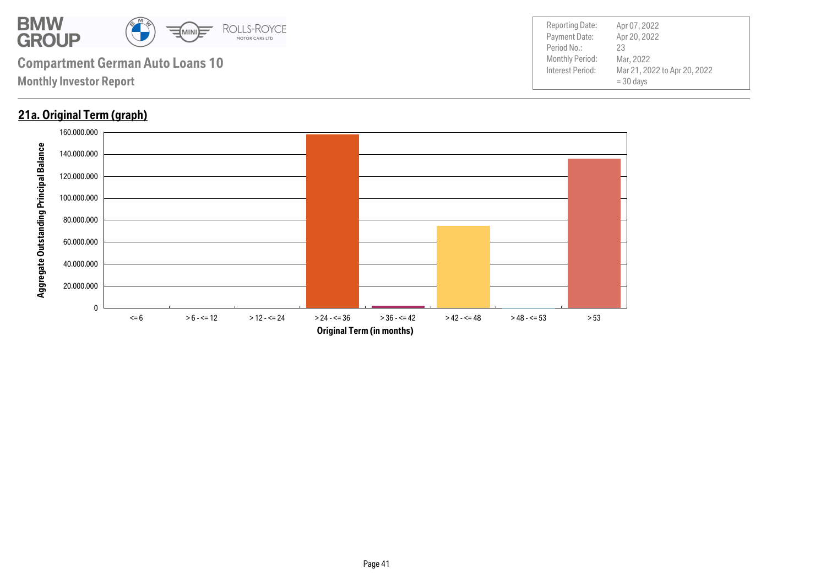

## **21a. Original Term (graph)**

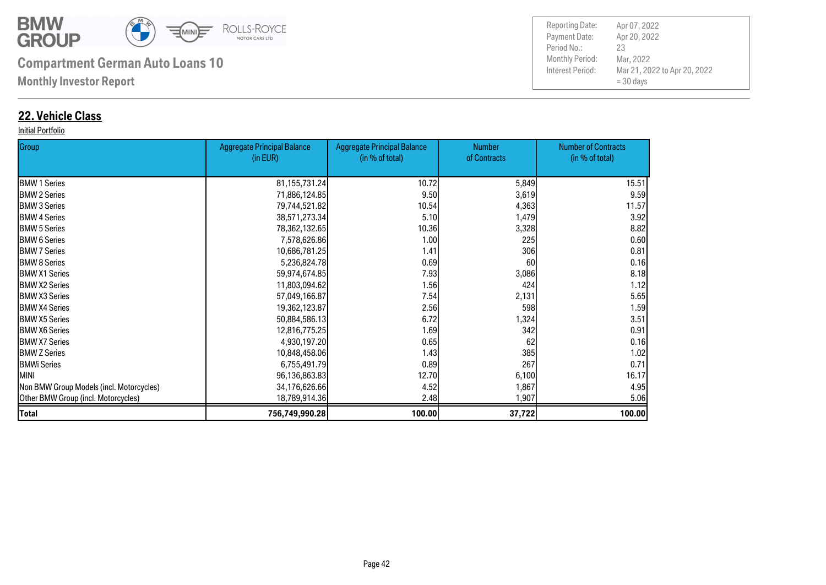

**Monthly Investor Report**

## **22. Vehicle Class**

#### Initial Portfolio

| Group                                    | <b>Aggregate Principal Balance</b> | <b>Aggregate Principal Balance</b> | <b>Number</b> | <b>Number of Contracts</b> |
|------------------------------------------|------------------------------------|------------------------------------|---------------|----------------------------|
|                                          | (in EUR)                           | (in % of total)                    | of Contracts  | (in % of total)            |
| <b>BMW 1 Series</b>                      | 81, 155, 731. 24                   | 10.72                              | 5,849         | 15.51                      |
| <b>BMW 2 Series</b>                      | 71,886,124.85                      | 9.50                               | 3,619         | 9.59                       |
| <b>BMW 3 Series</b>                      | 79,744,521.82                      | 10.54                              | 4,363         | 11.57                      |
| <b>I</b> BMW 4 Series                    | 38,571,273.34                      | 5.10                               | 1,479         | 3.92                       |
| <b>BMW 5 Series</b>                      | 78,362,132.65                      | 10.36                              | 3,328         | 8.82                       |
| <b>I</b> BMW 6 Series                    | 7,578,626.86                       | 1.00                               | 225           | 0.60                       |
| <b>I</b> BMW 7 Series                    | 10,686,781.25                      | 1.41                               | 306           | 0.81                       |
| <b>BMW 8 Series</b>                      | 5,236,824.78                       | 0.69                               | 60            | 0.16                       |
| <b>IBMW X1 Series</b>                    | 59,974,674.85                      | 7.93                               | 3,086         | 8.18                       |
| <b>BMW X2 Series</b>                     | 11,803,094.62                      | 1.56                               | 424           | 1.12                       |
| <b>IBMW X3 Series</b>                    | 57,049,166.87                      | 7.54                               | 2,131         | 5.65                       |
| <b>BMW X4 Series</b>                     | 19,362,123.87                      | 2.56                               | 598           | 1.59                       |
| <b>IBMW X5 Series</b>                    | 50,884,586.13                      | 6.72                               | 1,324         | 3.51                       |
| <b>IBMW X6 Series</b>                    | 12,816,775.25                      | 1.69                               | 342           | 0.91                       |
| <b>BMW X7 Series</b>                     | 4,930,197.20                       | 0.65                               | 62            | 0.16                       |
| <b>BMW Z Series</b>                      | 10,848,458.06                      | 1.43                               | 385           | 1.02                       |
| <b>BMWi Series</b>                       | 6,755,491.79                       | 0.89                               | 267           | 0.71                       |
| <b>MINI</b>                              | 96,136,863.83                      | 12.70                              | 6,100         | 16.17                      |
| Non BMW Group Models (incl. Motorcycles) | 34,176,626.66                      | 4.52                               | 1,867         | 4.95                       |
| Other BMW Group (incl. Motorcycles)      | 18,789,914.36                      | 2.48                               | 1,907         | 5.06                       |
| <b>Total</b>                             | 756,749,990.28                     | 100.00                             | 37,722        | 100.00                     |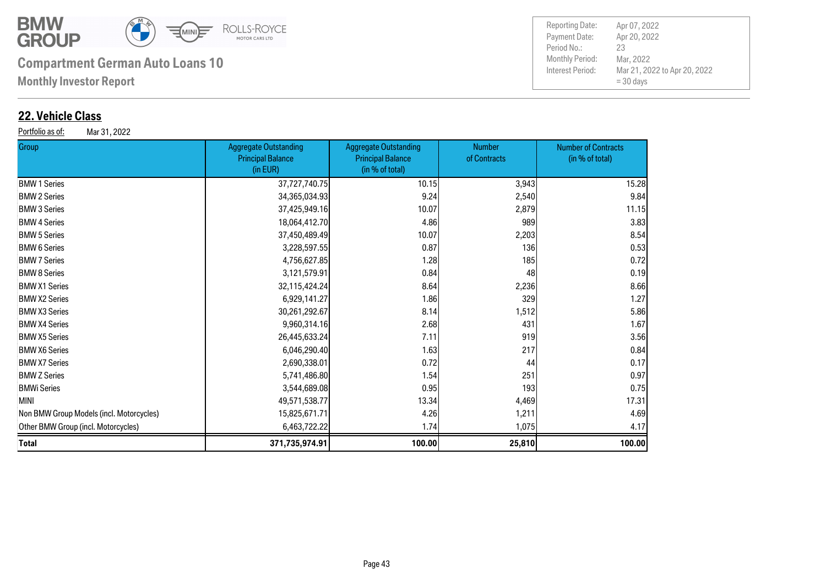

**Monthly Investor Report**

### **22. Vehicle Class**

Portfolio as of: Mar 31, 2022

| Group                                    | <b>Aggregate Outstanding</b><br><b>Principal Balance</b><br>(in EUR) | <b>Aggregate Outstanding</b><br><b>Principal Balance</b><br>(in % of total) | <b>Number</b><br>of Contracts | <b>Number of Contracts</b><br>(in % of total) |
|------------------------------------------|----------------------------------------------------------------------|-----------------------------------------------------------------------------|-------------------------------|-----------------------------------------------|
| <b>BMW 1 Series</b>                      | 37,727,740.75                                                        | 10.15                                                                       | 3,943                         | 15.28                                         |
| <b>BMW 2 Series</b>                      | 34,365,034.93                                                        | 9.24                                                                        | 2,540                         | 9.84                                          |
| <b>BMW 3 Series</b>                      | 37,425,949.16                                                        | 10.07                                                                       | 2,879                         | 11.15                                         |
| <b>BMW 4 Series</b>                      | 18,064,412.70                                                        | 4.86                                                                        | 989                           | 3.83                                          |
| <b>BMW 5 Series</b>                      | 37,450,489.49                                                        | 10.07                                                                       | 2,203                         | 8.54                                          |
| <b>BMW 6 Series</b>                      | 3,228,597.55                                                         | 0.87                                                                        | 136                           | 0.53                                          |
| <b>BMW 7 Series</b>                      | 4,756,627.85                                                         | 1.28                                                                        | 185                           | 0.72                                          |
| <b>BMW 8 Series</b>                      | 3,121,579.91                                                         | 0.84                                                                        | 48                            | 0.19                                          |
| <b>BMW X1 Series</b>                     | 32,115,424.24                                                        | 8.64                                                                        | 2,236                         | 8.66                                          |
| <b>BMW X2 Series</b>                     | 6,929,141.27                                                         | 1.86                                                                        | 329                           | 1.27                                          |
| <b>BMW X3 Series</b>                     | 30,261,292.67                                                        | 8.14                                                                        | 1,512                         | 5.86                                          |
| <b>BMW X4 Series</b>                     | 9,960,314.16                                                         | 2.68                                                                        | 431                           | 1.67                                          |
| <b>BMW X5 Series</b>                     | 26,445,633.24                                                        | 7.11                                                                        | 919                           | 3.56                                          |
| <b>BMW X6 Series</b>                     | 6,046,290.40                                                         | 1.63                                                                        | 217                           | 0.84                                          |
| <b>BMW X7 Series</b>                     | 2,690,338.01                                                         | 0.72                                                                        | 44                            | 0.17                                          |
| <b>BMW Z Series</b>                      | 5,741,486.80                                                         | 1.54                                                                        | 251                           | 0.97                                          |
| BMWi Series                              | 3,544,689.08                                                         | 0.95                                                                        | 193                           | 0.75                                          |
| MINI                                     | 49,571,538.77                                                        | 13.34                                                                       | 4,469                         | 17.31                                         |
| Non BMW Group Models (incl. Motorcycles) | 15,825,671.71                                                        | 4.26                                                                        | 1,211                         | 4.69                                          |
| Other BMW Group (incl. Motorcycles)      | 6,463,722.22                                                         | 1.74                                                                        | 1,075                         | 4.17                                          |
| Total                                    | 371,735,974.91                                                       | 100.00                                                                      | 25,810                        | 100.00                                        |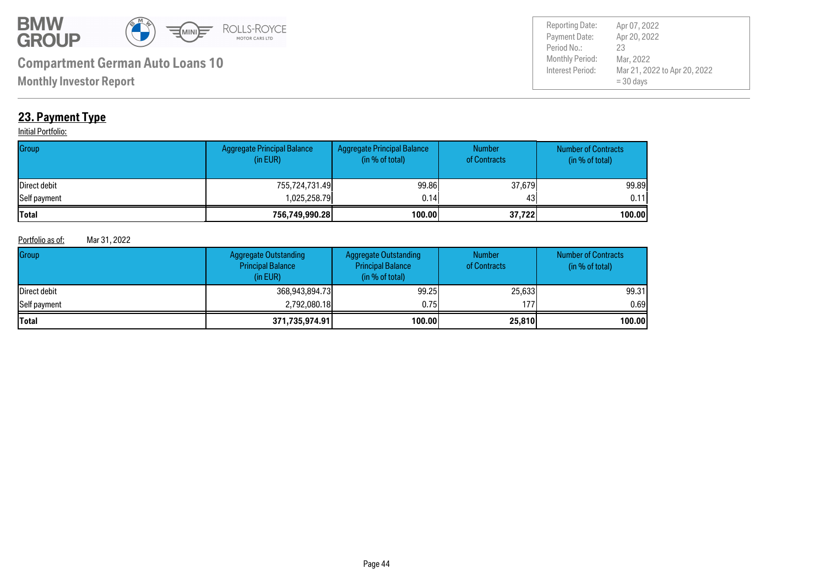

Payment Date: Period No.: Mar 21, 2022 to Apr 20, 2022 = 30 days Apr 20, 2022 Mar, 2022 23 Reporting Date: Apr 07, 2022

**Monthly Investor Report**

## **23. Payment Type**

#### **Initial Portfolio:**

| Group        | <b>Aggregate Principal Balance</b><br>(in EUR) | Aggregate Principal Balance<br>(in % of total) | <b>Number</b><br>of Contracts | <b>Number of Contracts</b><br>(in % of total) |
|--------------|------------------------------------------------|------------------------------------------------|-------------------------------|-----------------------------------------------|
| Direct debit | 755,724,731.49                                 | 99.86                                          | 37,679                        | 99.89                                         |
| Self payment | 1,025,258.79                                   | 0.14                                           | 43                            | 0.11                                          |
| Total        | 756,749,990.28                                 | 100.00                                         | 37,722                        | 100.00                                        |

#### Portfolio as of: Mar 31, 2022

| Group        | <b>Aggregate Outstanding</b><br><b>Principal Balance</b><br>(in EUR) | Aggregate Outstanding<br><b>Principal Balance</b><br>(in % of total) | <b>Number</b><br>of Contracts | <b>Number of Contracts</b><br>(in % of total) |
|--------------|----------------------------------------------------------------------|----------------------------------------------------------------------|-------------------------------|-----------------------------------------------|
| Direct debit | 368,943,894.73                                                       | 99.25                                                                | 25,633                        | 99.31                                         |
| Self payment | 2,792,080.18                                                         | 0.75                                                                 | 1771                          | 0.69                                          |
| <b>Total</b> | 371,735,974.91                                                       | 100.00                                                               | 25,810                        | 100.00                                        |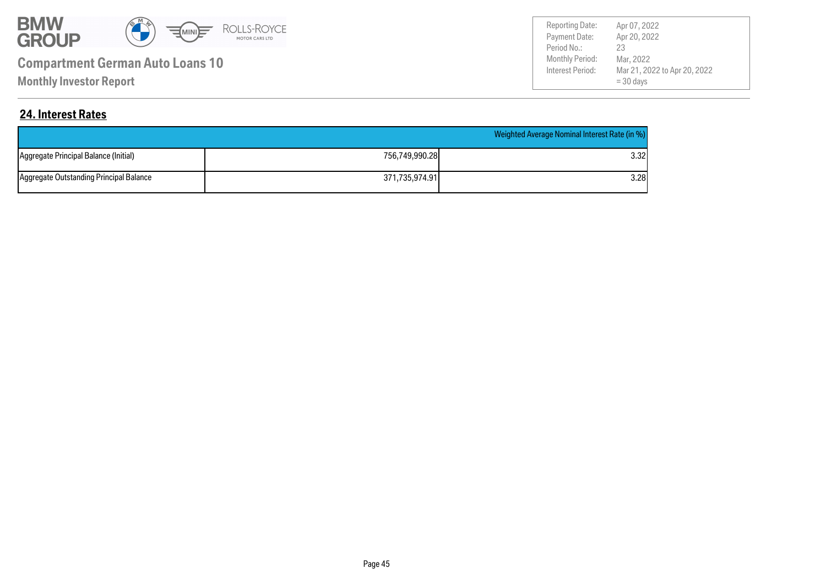

**Monthly Investor Report**

Payment Date: Period No.: Mar 21, 2022 to Apr 20, 2022 = 30 days Apr 20, 2022 Mar, 2022 23 Reporting Date: Apr 07, 2022

#### **24. Interest Rates**

|                                         |                | Weighted Average Nominal Interest Rate (in %) |
|-----------------------------------------|----------------|-----------------------------------------------|
| Aggregate Principal Balance (Initial)   | 756.749.990.28 | 3.32I                                         |
| Aggregate Outstanding Principal Balance | 371,735,974.91 | 3.28                                          |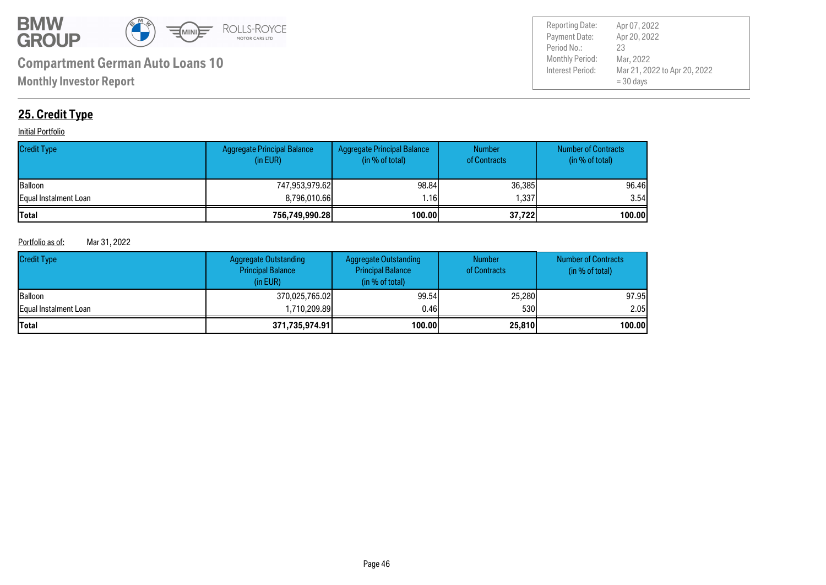

Payment Date: Period No.: Mar 21, 2022 to Apr 20, 2022 = 30 days Apr 20, 2022 Mar, 2022 23 Reporting Date: Apr 07, 2022

## **25. Credit Type**

#### **Initial Portfolio**

| <b>Credit Type</b>    | Aggregate Principal Balance<br>(in EUR) | Aggregate Principal Balance<br>(in % of total) | <b>Number</b><br>of Contracts | <b>Number of Contracts</b><br>(in % of total) |
|-----------------------|-----------------------------------------|------------------------------------------------|-------------------------------|-----------------------------------------------|
| <b>Balloon</b>        | 747,953,979.62                          | 98.84                                          | 36,385                        | 96.46                                         |
| Equal Instalment Loan | 8,796,010.66                            | .16                                            | 337،،                         | 3.54                                          |
| <b>Total</b>          | 756,749,990.28                          | 100.00                                         | 37,722                        | 100.00                                        |

#### Portfolio as of: Mar 31, 2022

| <b>Credit Type</b>            | <b>Aggregate Outstanding</b><br><b>Principal Balance</b><br>(in EUR) | <b>Aggregate Outstanding</b><br><b>Principal Balance</b><br>(in % of total) | <b>Number</b><br>of Contracts | <b>Number of Contracts</b><br>(in $%$ of total) |
|-------------------------------|----------------------------------------------------------------------|-----------------------------------------------------------------------------|-------------------------------|-------------------------------------------------|
| <b>Balloon</b>                | 370,025,765.02                                                       | 99.54                                                                       | 25,280                        | 97.95                                           |
| <b>IEqual Instalment Loan</b> | 1,710,209.89                                                         | 0.46                                                                        | 530                           | 2.05                                            |
| <b>Total</b>                  | 371,735,974.91                                                       | 100.00                                                                      | 25,810                        | 100.00                                          |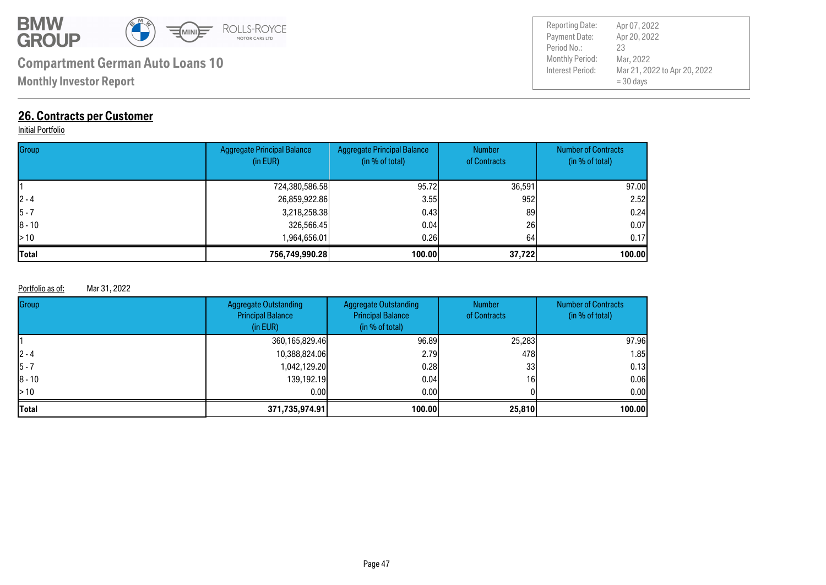

**Monthly Investor Report**

## **26. Contracts per Customer**

#### **Initial Portfolio**

| Group        | Aggregate Principal Balance<br>(in EUR) | <b>Aggregate Principal Balance</b><br>(in % of total) | <b>Number</b><br>of Contracts | <b>Number of Contracts</b><br>(in % of total) |
|--------------|-----------------------------------------|-------------------------------------------------------|-------------------------------|-----------------------------------------------|
|              | 724,380,586.58                          | 95.72                                                 | 36,591                        | 97.00                                         |
| $2 - 4$      | 26,859,922.86                           | 3.55                                                  | 952                           | 2.52                                          |
| $5 - 7$      | 3,218,258.38                            | 0.43                                                  | 89                            | 0.24                                          |
| $ 8 - 10$    | 326,566.45                              | 0.04                                                  | 26                            | 0.07                                          |
| >10          | 964,656.01. ا                           | 0.26                                                  | 64                            | 0.17                                          |
| <b>Total</b> | 756,749,990.28                          | 100.00                                                | 37,722                        | 100.00                                        |

#### Portfolio as of: Mar 31, 2022

| Group      | <b>Aggregate Outstanding</b><br><b>Principal Balance</b><br>(in EUR) | Aggregate Outstanding<br><b>Principal Balance</b><br>(in % of total) | <b>Number</b><br>of Contracts | <b>Number of Contracts</b><br>(in % of total) |
|------------|----------------------------------------------------------------------|----------------------------------------------------------------------|-------------------------------|-----------------------------------------------|
|            | 360,165,829.46                                                       | 96.89                                                                | 25,283                        | 97.96                                         |
| $12 - 4$   | 10,388,824.06                                                        | 2.791                                                                | 478I                          | 1.85                                          |
| 15 - 7     | 1,042,129.20                                                         | 0.28                                                                 | 33                            | 0.13                                          |
| $ 8 - 10 $ | 139,192.19                                                           | 0.04                                                                 | 16                            | 0.06                                          |
| > 10       | 0.001                                                                | 0.001                                                                |                               | 0.00                                          |
| Total      | 371,735,974.91                                                       | 100.00                                                               | 25,810                        | 100.00                                        |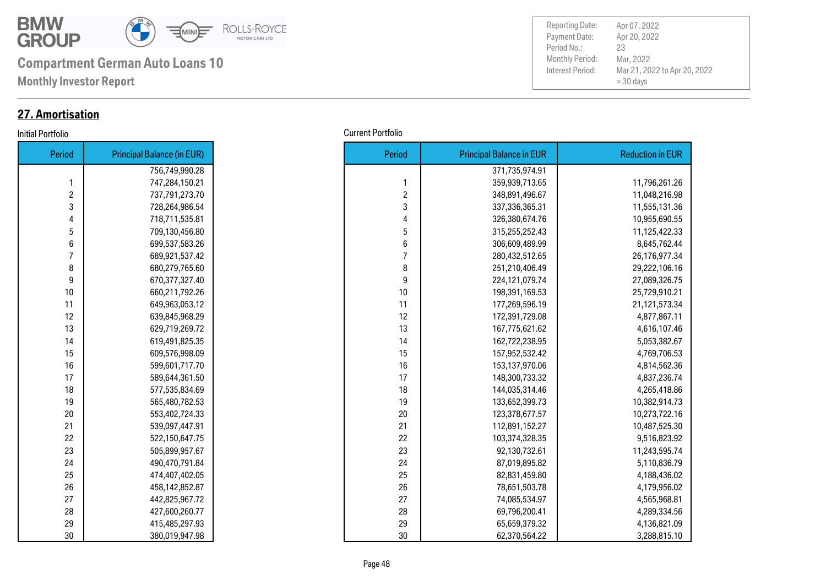

**Monthly Investor Report**

## **27. Amortisation**

| Period | <b>Principal Balance (in EUR)</b> |
|--------|-----------------------------------|
|        | 756,749,990.28                    |
| 1      | 747,284,150.21                    |
| 2      | 737,791,273.70                    |
| 3      | 728,264,986.54                    |
| 4      | 718,711,535.81                    |
| 5      | 709,130,456.80                    |
| 6      | 699,537,583.26                    |
| 7      | 689,921,537.42                    |
| 8      | 680,279,765.60                    |
| 9      | 670,377,327.40                    |
| 10     | 660,211,792.26                    |
| 11     | 649,963,053.12                    |
| 12     | 639,845,968.29                    |
| 13     | 629,719,269.72                    |
| 14     | 619,491,825.35                    |
| 15     | 609,576,998.09                    |
| 16     | 599,601,717.70                    |
| 17     | 589,644,361.50                    |
| 18     | 577,535,834.69                    |
| 19     | 565,480,782.53                    |
| 20     | 553,402,724.33                    |
| 21     | 539,097,447.91                    |
| 22     | 522,150,647.75                    |
| 23     | 505,899,957.67                    |
| 24     | 490,470,791.84                    |
| 25     | 474,407,402.05                    |
| 26     | 458,142,852.87                    |
| 27     | 442,825,967.72                    |
| 28     | 427,600,260.77                    |
| 29     | 415,485,297.93                    |
| 30     | 380,019,947.98                    |

Payment Date: Period No.: Mar 21, 2022 to Apr 20, 2022 = 30 days Apr 20, 2022 Mar, 2022 23 Reporting Date: Apr 07, 2022

#### Initial Portfolio Current Portfolio

| <b>Period</b>  | <b>Principal Balance (in EUR)</b> |
|----------------|-----------------------------------|
|                | 756,749,990.28                    |
| $\mathbf{1}$   | 747,284,150.21                    |
| $\overline{c}$ | 737,791,273.70                    |
| 3              | 728,264,986.54                    |
| 4              | 718,711,535.81                    |
| 5              | 709,130,456.80                    |
| 6              | 699,537,583.26                    |
| $\overline{7}$ | 689,921,537.42                    |
| 8              | 680,279,765.60                    |
| 9              | 670,377,327.40                    |
| 10             | 660,211,792.26                    |
| 11             | 649,963,053.12                    |
| 12             | 639,845,968.29                    |
| 13             | 629,719,269.72                    |
| 14             | 619,491,825.35                    |
| 15             | 609,576,998.09                    |
| 16             | 599,601,717.70                    |
| 17             | 589,644,361.50                    |
| 18             | 577,535,834.69                    |
| 19             | 565,480,782.53                    |
| 20             | 553,402,724.33                    |
| 21             | 539,097,447.91                    |
| 22             | 522,150,647.75                    |
| 23             | 505,899,957.67                    |
| 24             | 490,470,791.84                    |
| 25             | 474,407,402.05                    |
| 26             | 458,142,852.87                    |
| 27             | 442,825,967.72                    |
| 28             | 427,600,260.77                    |
| 29             | 415,485,297.93                    |
| 30             | 380,019,947.98                    |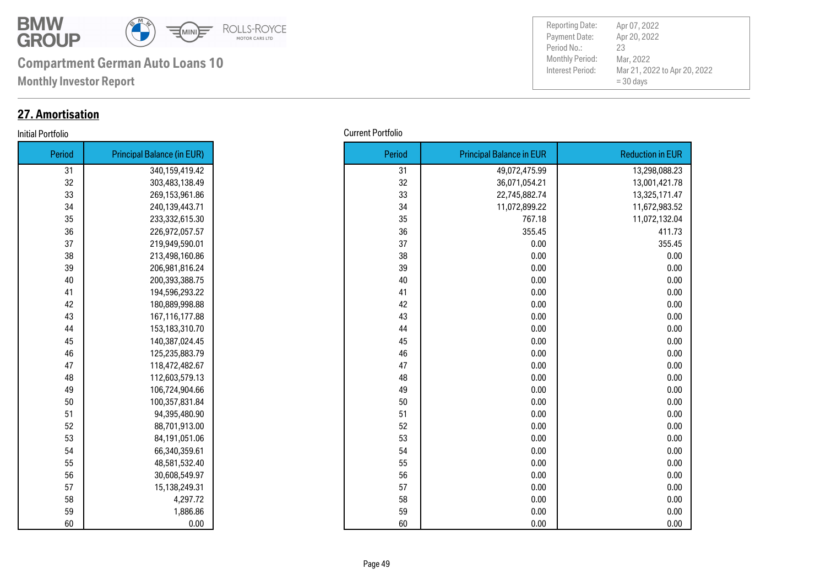

**Monthly Investor Report**

## **27. Amortisation**

#### Initial Portfolio Current Portfolio

| Period | <b>Principal Balance (in EUR)</b> |
|--------|-----------------------------------|
| 31     | 340,159,419.42                    |
| 32     | 303,483,138.49                    |
| 33     | 269,153,961.86                    |
| 34     | 240,139,443.71                    |
| 35     | 233,332,615.30                    |
| 36     | 226,972,057.57                    |
| 37     | 219,949,590.01                    |
| 38     | 213,498,160.86                    |
| 39     | 206,981,816.24                    |
| 40     | 200,393,388.75                    |
| 41     | 194,596,293.22                    |
| 42     | 180,889,998.88                    |
| 43     | 167,116,177.88                    |
| 44     | 153,183,310.70                    |
| 45     | 140,387,024.45                    |
| 46     | 125,235,883.79                    |
| 47     | 118,472,482.67                    |
| 48     | 112,603,579.13                    |
| 49     | 106,724,904.66                    |
| 50     | 100,357,831.84                    |
| 51     | 94,395,480.90                     |
| 52     | 88,701,913.00                     |
| 53     | 84,191,051.06                     |
| 54     | 66,340,359.61                     |
| 55     | 48,581,532.40                     |
| 56     | 30,608,549.97                     |
| 57     | 15,138,249.31                     |
| 58     | 4,297.72                          |
| 59     | 1,886.86                          |
| 60     | 0.00                              |

| uviiv  |                                   |
|--------|-----------------------------------|
| Period | <b>Principal Balance (in EUR)</b> |
| 31     | 340,159,419.42                    |
| 32     | 303,483,138.49                    |
| 33     | 269,153,961.86                    |
| 34     | 240,139,443.71                    |
| 35     | 233,332,615.30                    |
| 36     | 226,972,057.57                    |
| 37     | 219,949,590.01                    |
| 38     | 213,498,160.86                    |
| 39     | 206,981,816.24                    |
| 40     | 200,393,388.75                    |
| 41     | 194,596,293.22                    |
| 42     | 180,889,998.88                    |
| 43     | 167,116,177.88                    |
| 44     | 153,183,310.70                    |
| 45     | 140,387,024.45                    |
| 46     | 125,235,883.79                    |
| 47     | 118,472,482.67                    |
| 48     | 112,603,579.13                    |
| 49     | 106,724,904.66                    |
| 50     | 100,357,831.84                    |
| 51     | 94,395,480.90                     |
| 52     | 88,701,913.00                     |
| 53     | 84,191,051.06                     |
| 54     | 66,340,359.61                     |
| 55     | 48,581,532.40                     |
| 56     | 30,608,549.97                     |
| 57     | 15,138,249.31                     |
| 58     | 4,297.72                          |
| 59     | 1,886.86                          |
| 60     | 0.00                              |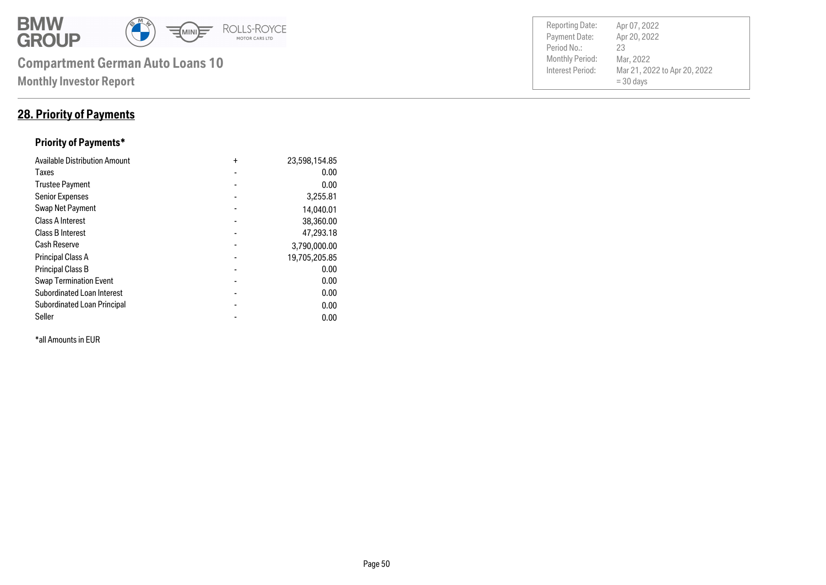

### **28. Priority of Payments**

#### **Priority of Payments\***

| <b>Available Distribution Amount</b> | $\ddot{}$      | 23,598,154.85 |
|--------------------------------------|----------------|---------------|
| Taxes                                |                | 0.00          |
| <b>Trustee Payment</b>               |                | 0.00          |
| <b>Senior Expenses</b>               | $\blacksquare$ | 3,255.81      |
| Swap Net Payment                     |                | 14,040.01     |
| <b>Class A Interest</b>              |                | 38,360.00     |
| Class B Interest                     | -              | 47,293.18     |
| <b>Cash Reserve</b>                  |                | 3,790,000.00  |
| <b>Principal Class A</b>             |                | 19,705,205.85 |
| <b>Principal Class B</b>             |                | 0.00          |
| <b>Swap Termination Event</b>        |                | 0.00          |
| <b>Subordinated Loan Interest</b>    | -              | 0.00          |
| Subordinated Loan Principal          |                | 0.00          |
| Seller                               |                | 0.00          |

\*all Amounts in EUR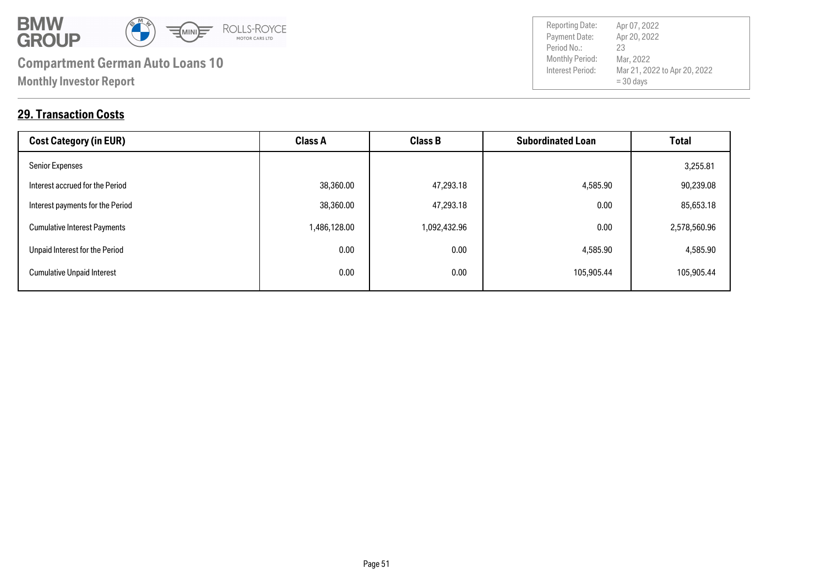

Payment Date: Period No.: Mar 21, 2022 to Apr 20, 2022 = 30 days Apr 20, 2022 Mar, 2022 23

Reporting Date: Apr 07, 2022

### **29. Transaction Costs**

| <b>Cost Category (in EUR)</b>       | <b>Class A</b> | <b>Class B</b> | <b>Subordinated Loan</b> | Total        |
|-------------------------------------|----------------|----------------|--------------------------|--------------|
| <b>Senior Expenses</b>              |                |                |                          | 3,255.81     |
| Interest accrued for the Period     | 38,360.00      | 47,293.18      | 4,585.90                 | 90,239.08    |
| Interest payments for the Period    | 38,360.00      | 47,293.18      | 0.00                     | 85,653.18    |
| <b>Cumulative Interest Payments</b> | 1,486,128.00   | 1,092,432.96   | 0.00                     | 2,578,560.96 |
| Unpaid Interest for the Period      | 0.00           | 0.00           | 4,585.90                 | 4,585.90     |
| <b>Cumulative Unpaid Interest</b>   | 0.00           | 0.00           | 105,905.44               | 105,905.44   |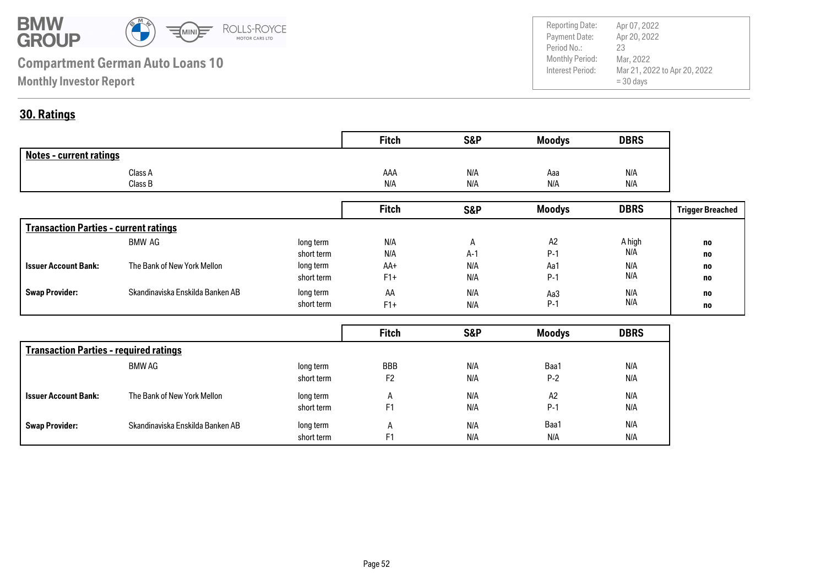

Payment Date: Period No.: Mar 21, 2022 to Apr 20, 2022 = 30 days Apr 20, 2022 Mar, 2022 23 Reporting Date: Apr 07, 2022

### **30. Ratings**

|                                | <b>Fitch</b> | <b>S&amp;P</b> | <b>Moodys</b> | <b>DBRS</b> |
|--------------------------------|--------------|----------------|---------------|-------------|
| <b>Notes - current ratings</b> |              |                |               |             |
| Class A                        | AAA          | N/A            | Aaa           | N/A         |
| Class B                        | N/A          | N/A            | N/A           | N/A         |

|                                              |                                  |            | <b>Fitch</b> | <b>S&amp;P</b> | <b>Moodys</b>  | <b>DBRS</b> | <b>Trigger Breached</b> |
|----------------------------------------------|----------------------------------|------------|--------------|----------------|----------------|-------------|-------------------------|
| <b>Transaction Parties - current ratings</b> |                                  |            |              |                |                |             |                         |
|                                              | BMW AG                           | long term  | N/A          | $\mathsf{H}$   | A <sub>2</sub> | A high      | no                      |
|                                              |                                  | short term | N/A          | $A-1$          | $P-1$          | N/A         | no                      |
| <b>Issuer Account Bank:</b>                  | The Bank of New York Mellon      | long term  | AA+          | N/A            | Aa1            | N/A         | no                      |
|                                              |                                  | short term | $F1+$        | N/A            | $P-1$          | N/A         | no                      |
| <b>Swap Provider:</b>                        | Skandinaviska Enskilda Banken AB | long term  | AA           | N/A            | Aa3            | N/A         | no                      |
|                                              |                                  | short term | $F1+$        | N/A            | $P-1$          | N/A         | no                      |

|                                               |                                  |            | <b>Fitch</b>   | <b>S&amp;P</b> | <b>Moodys</b> | <b>DBRS</b> |
|-----------------------------------------------|----------------------------------|------------|----------------|----------------|---------------|-------------|
| <b>Transaction Parties - required ratings</b> |                                  |            |                |                |               |             |
|                                               | BMW AG                           | long term  | <b>BBB</b>     | N/A            | Baa1          | N/A         |
|                                               |                                  | short term | F <sub>2</sub> | N/A            | $P-2$         | N/A         |
| <b>Issuer Account Bank:</b>                   | The Bank of New York Mellon      | long term  | $\mathsf{A}$   | N/A            | A2            | N/A         |
|                                               |                                  | short term | F <sub>1</sub> | N/A            | $P-1$         | N/A         |
| <b>Swap Provider:</b>                         | Skandinaviska Enskilda Banken AB | long term  | $\mathsf{A}$   | N/A            | Baa1          | N/A         |
|                                               |                                  | short term | F1             | N/A            | N/A           | N/A         |